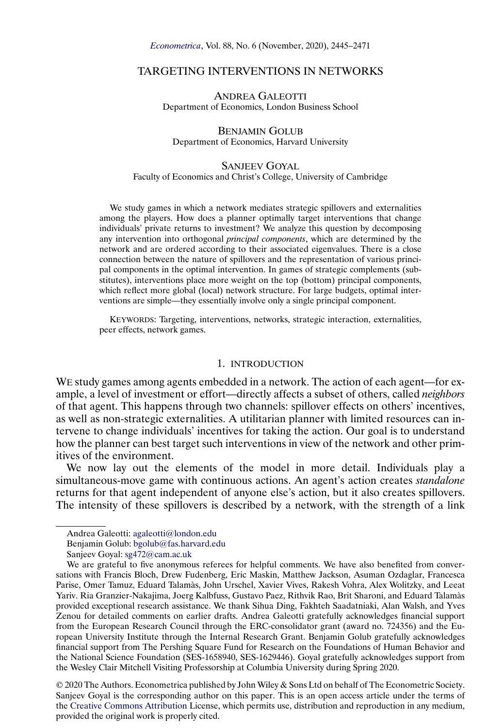## TARGETING INTERVENTIONS IN NETWORKS

ANDREA GALEOTTI Department of Economics, London Business School

#### BENJAMIN GOLUB Department of Economics, Harvard University

### SANJEEV GOYAL

Faculty of Economics and Christ's College, University of Cambridge

We study games in which a network mediates strategic spillovers and externalities among the players. How does a planner optimally target interventions that change individuals' private returns to investment? We analyze this question by decomposing any intervention into orthogonal *principal components*, which are determined by the network and are ordered according to their associated eigenvalues. There is a close connection between the nature of spillovers and the representation of various principal components in the optimal intervention. In games of strategic complements (substitutes), interventions place more weight on the top (bottom) principal components, which reflect more global (local) network structure. For large budgets, optimal interventions are simple—they essentially involve only a single principal component.

KEYWORDS: Targeting, interventions, networks, strategic interaction, externalities, peer effects, network games.

#### 1. INTRODUCTION

WE study games among agents embedded in a network. The action of each agent—for example, a level of investment or effort—directly affects a subset of others, called *neighbors* of that agent. This happens through two channels: spillover effects on others' incentives, as well as non-strategic externalities. A utilitarian planner with limited resources can intervene to change individuals' incentives for taking the action. Our goal is to understand how the planner can best target such interventions in view of the network and other primitives of the environment.

We now lay out the elements of the model in more detail. Individuals play a simultaneous-move game with continuous actions. An agent's action creates *standalone* returns for that agent independent of anyone else's action, but it also creates spillovers. The intensity of these spillovers is described by a network, with the strength of a link

© 2020 The Authors. Econometrica published by John Wiley & Sons Ltd on behalf of The Econometric Society. Sanjeev Goyal is the corresponding author on this paper. This is an open access article under the terms of the [Creative Commons Attribution](https://creativecommons.org/licenses/by/4.0/) License, which permits use, distribution and reproduction in any medium, provided the original work is properly cited.

Andrea Galeotti: [agaleotti@london.edu](mailto:agaleotti@london.edu)

Benjamin Golub: [bgolub@fas.harvard.edu](mailto:bgolub@fas.harvard.edu)

Sanjeev Goyal: [sg472@cam.ac.uk](mailto:sg472@cam.ac.uk)

We are grateful to five anonymous referees for helpful comments. We have also benefited from conversations with Francis Bloch, Drew Fudenberg, Eric Maskin, Matthew Jackson, Asuman Ozdaglar, Francesca Parise, Omer Tamuz, Eduard Talamàs, John Urschel, Xavier Vives, Rakesh Vohra, Alex Wolitzky, and Leeat Yariv. Ria Granzier-Nakajima, Joerg Kalbfuss, Gustavo Paez, Rithvik Rao, Brit Sharoni, and Eduard Talamàs provided exceptional research assistance. We thank Sihua Ding, Fakhteh Saadatniaki, Alan Walsh, and Yves Zenou for detailed comments on earlier drafts. Andrea Galeotti gratefully acknowledges financial support from the European Research Council through the ERC-consolidator grant (award no. 724356) and the European University Institute through the Internal Research Grant. Benjamin Golub gratefully acknowledges financial support from The Pershing Square Fund for Research on the Foundations of Human Behavior and the National Science Foundation (SES-1658940, SES-1629446). Goyal gratefully acknowledges support from the Wesley Clair Mitchell Visiting Professorship at Columbia University during Spring 2020.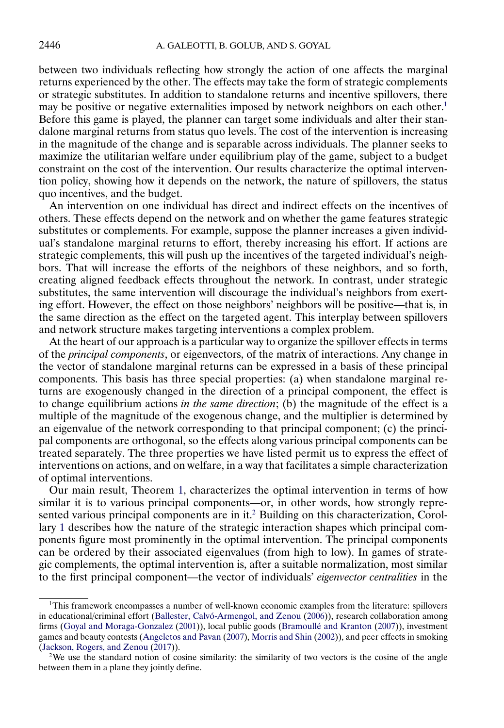<span id="page-1-0"></span>between two individuals reflecting how strongly the action of one affects the marginal returns experienced by the other. The effects may take the form of strategic complements or strategic substitutes. In addition to standalone returns and incentive spillovers, there may be positive or negative externalities imposed by network neighbors on each other.<sup>1</sup> Before this game is played, the planner can target some individuals and alter their standalone marginal returns from status quo levels. The cost of the intervention is increasing in the magnitude of the change and is separable across individuals. The planner seeks to maximize the utilitarian welfare under equilibrium play of the game, subject to a budget constraint on the cost of the intervention. Our results characterize the optimal intervention policy, showing how it depends on the network, the nature of spillovers, the status quo incentives, and the budget.

An intervention on one individual has direct and indirect effects on the incentives of others. These effects depend on the network and on whether the game features strategic substitutes or complements. For example, suppose the planner increases a given individual's standalone marginal returns to effort, thereby increasing his effort. If actions are strategic complements, this will push up the incentives of the targeted individual's neighbors. That will increase the efforts of the neighbors of these neighbors, and so forth, creating aligned feedback effects throughout the network. In contrast, under strategic substitutes, the same intervention will discourage the individual's neighbors from exerting effort. However, the effect on those neighbors' neighbors will be positive—that is, in the same direction as the effect on the targeted agent. This interplay between spillovers and network structure makes targeting interventions a complex problem.

At the heart of our approach is a particular way to organize the spillover effects in terms of the *principal components*, or eigenvectors, of the matrix of interactions. Any change in the vector of standalone marginal returns can be expressed in a basis of these principal components. This basis has three special properties: (a) when standalone marginal returns are exogenously changed in the direction of a principal component, the effect is to change equilibrium actions *in the same direction*; (b) the magnitude of the effect is a multiple of the magnitude of the exogenous change, and the multiplier is determined by an eigenvalue of the network corresponding to that principal component; (c) the principal components are orthogonal, so the effects along various principal components can be treated separately. The three properties we have listed permit us to express the effect of interventions on actions, and on welfare, in a way that facilitates a simple characterization of optimal interventions.

Our main result, Theorem [1,](#page-9-0) characterizes the optimal intervention in terms of how similar it is to various principal components—or, in other words, how strongly represented various principal components are in it.<sup>2</sup> Building on this characterization, Corollary [1](#page-10-0) describes how the nature of the strategic interaction shapes which principal components figure most prominently in the optimal intervention. The principal components can be ordered by their associated eigenvalues (from high to low). In games of strategic complements, the optimal intervention is, after a suitable normalization, most similar to the first principal component—the vector of individuals' *eigenvector centralities* in the

<sup>1</sup>This framework encompasses a number of well-known economic examples from the literature: spillovers in educational/criminal effort [\(Ballester, Calvó-Armengol, and Zenou](#page-25-0) [\(2006\)](#page-25-0)), research collaboration among firms [\(Goyal and Moraga-Gonzalez](#page-25-0) [\(2001\)](#page-25-0)), local public goods [\(Bramoullé and Kranton](#page-25-0) [\(2007\)](#page-25-0)), investment games and beauty contests [\(Angeletos and Pavan](#page-25-0) [\(2007\)](#page-25-0), [Morris and Shin](#page-26-0) [\(2002\)](#page-26-0)), and peer effects in smoking [\(Jackson, Rogers, and Zenou](#page-25-0) [\(2017\)](#page-25-0)).

<sup>&</sup>lt;sup>2</sup>We use the standard notion of cosine similarity: the similarity of two vectors is the cosine of the angle between them in a plane they jointly define.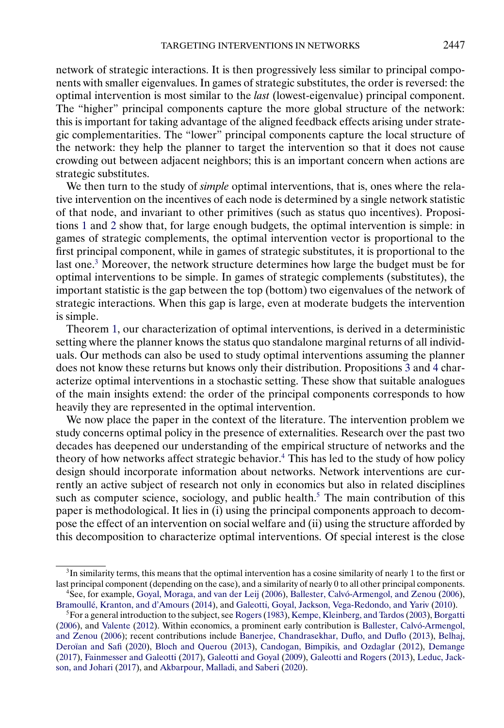<span id="page-2-0"></span>network of strategic interactions. It is then progressively less similar to principal components with smaller eigenvalues. In games of strategic substitutes, the order is reversed: the optimal intervention is most similar to the *last* (lowest-eigenvalue) principal component. The "higher" principal components capture the more global structure of the network: this is important for taking advantage of the aligned feedback effects arising under strategic complementarities. The "lower" principal components capture the local structure of the network: they help the planner to target the intervention so that it does not cause crowding out between adjacent neighbors; this is an important concern when actions are strategic substitutes.

We then turn to the study of *simple* optimal interventions, that is, ones where the relative intervention on the incentives of each node is determined by a single network statistic of that node, and invariant to other primitives (such as status quo incentives). Propositions [1](#page-10-0) and [2](#page-12-0) show that, for large enough budgets, the optimal intervention is simple: in games of strategic complements, the optimal intervention vector is proportional to the first principal component, while in games of strategic substitutes, it is proportional to the last one.3 Moreover, the network structure determines how large the budget must be for optimal interventions to be simple. In games of strategic complements (substitutes), the important statistic is the gap between the top (bottom) two eigenvalues of the network of strategic interactions. When this gap is large, even at moderate budgets the intervention is simple.

Theorem [1,](#page-9-0) our characterization of optimal interventions, is derived in a deterministic setting where the planner knows the status quo standalone marginal returns of all individuals. Our methods can also be used to study optimal interventions assuming the planner does not know these returns but knows only their distribution. Propositions [3](#page-16-0) and [4](#page-17-0) characterize optimal interventions in a stochastic setting. These show that suitable analogues of the main insights extend: the order of the principal components corresponds to how heavily they are represented in the optimal intervention.

We now place the paper in the context of the literature. The intervention problem we study concerns optimal policy in the presence of externalities. Research over the past two decades has deepened our understanding of the empirical structure of networks and the theory of how networks affect strategic behavior.<sup>4</sup> This has led to the study of how policy design should incorporate information about networks. Network interventions are currently an active subject of research not only in economics but also in related disciplines such as computer science, sociology, and public health.<sup>5</sup> The main contribution of this paper is methodological. It lies in (i) using the principal components approach to decompose the effect of an intervention on social welfare and (ii) using the structure afforded by this decomposition to characterize optimal interventions. Of special interest is the close

<sup>&</sup>lt;sup>3</sup>In similarity terms, this means that the optimal intervention has a cosine similarity of nearly 1 to the first or last principal component (depending on the case), and a similarity of nearly 0 to all other principal components. 4See, for example, [Goyal, Moraga, and van der Leij](#page-25-0) [\(2006\)](#page-25-0), [Ballester, Calvó-Armengol, and Zenou](#page-25-0) [\(2006\)](#page-25-0),

[Bramoullé, Kranton, and d'Amours](#page-25-0) [\(2014\)](#page-25-0), and [Galeotti, Goyal, Jackson, Vega-Redondo, and Yariv](#page-25-0) [\(2010\)](#page-25-0).

<sup>5</sup>For a general introduction to the subject, see [Rogers\(1983\)](#page-26-0), [Kempe, Kleinberg, and Tardos](#page-25-0) [\(2003\)](#page-25-0), [Borgatti](#page-25-0) [\(2006\)](#page-25-0), and [Valente](#page-26-0) [\(2012\)](#page-26-0). Within economics, a prominent early contribution is [Ballester, Calvó-Armengol,](#page-25-0) [and Zenou](#page-25-0) [\(2006\)](#page-25-0); recent contributions include [Banerjee, Chandrasekhar, Duflo, and Duflo](#page-25-0) [\(2013\)](#page-25-0), [Belhaj,](#page-25-0) [Deroïan and Safi](#page-25-0) [\(2020\)](#page-25-0), [Bloch and Querou](#page-25-0) [\(2013\)](#page-25-0), [Candogan, Bimpikis, and Ozdaglar](#page-25-0) [\(2012\)](#page-25-0), [Demange](#page-25-0) [\(2017\)](#page-25-0), [Fainmesser and Galeotti](#page-25-0) [\(2017\)](#page-25-0), [Galeotti and Goyal](#page-25-0) [\(2009\)](#page-25-0), [Galeotti and Rogers](#page-25-0) [\(2013\)](#page-25-0), [Leduc, Jack](#page-26-0)[son, and Johari](#page-26-0) [\(2017\)](#page-26-0), and [Akbarpour, Malladi, and Saberi](#page-24-0) [\(2020\)](#page-24-0).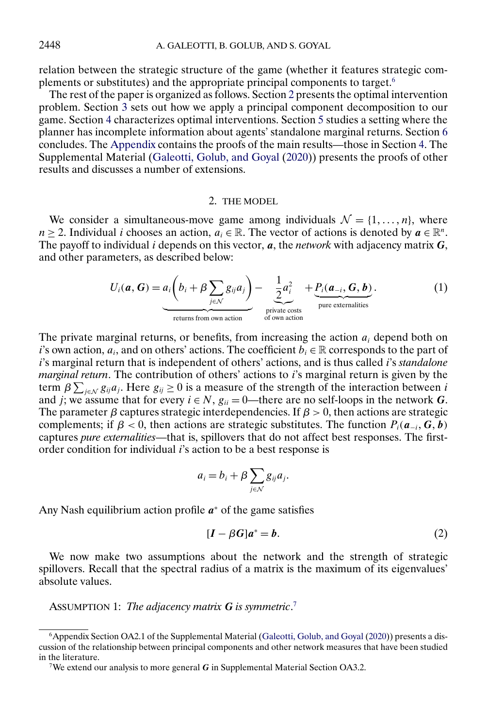<span id="page-3-0"></span>relation between the strategic structure of the game (whether it features strategic complements or substitutes) and the appropriate principal components to target.<sup>6</sup>

The rest of the paper is organized as follows. Section 2 presents the optimal intervention problem. Section [3](#page-6-0) sets out how we apply a principal component decomposition to our game. Section [4](#page-8-0) characterizes optimal interventions. Section [5](#page-15-0) studies a setting where the planner has incomplete information about agents' standalone marginal returns. Section [6](#page-18-0) concludes. The [Appendix](#page-19-0) contains the proofs of the main results—those in Section [4.](#page-8-0) The Supplemental Material [\(Galeotti, Golub, and Goyal](#page-25-0) [\(2020\)](#page-25-0)) presents the proofs of other results and discusses a number of extensions.

### 2. THE MODEL

We consider a simultaneous-move game among individuals  $\mathcal{N} = \{1, \ldots, n\}$ , where  $n \ge 2$ . Individual *i* chooses an action,  $a_i \in \mathbb{R}$ . The vector of actions is denoted by  $a \in \mathbb{R}^n$ . The payoff to individual *i* depends on this vector,  $a$ , the *network* with adjacency matrix  $G$ , and other parameters, as described below:

$$
U_i(\boldsymbol{a}, \boldsymbol{G}) = a_i \bigg(b_i + \beta \sum_{j \in \mathcal{N}} g_{ij} a_j\bigg) - \underbrace{\frac{1}{2} a_i^2}_{\text{private costs}} + \underbrace{P_i(\boldsymbol{a}_{-i}, \boldsymbol{G}, \boldsymbol{b})}_{\text{pure externalities}}.
$$
(1)

The private marginal returns, or benefits, from increasing the action  $a_i$  depend both on i's own action,  $a_i$ , and on others' actions. The coefficient  $b_i \in \mathbb{R}$  corresponds to the part of i's marginal return that is independent of others' actions, and is thus called i's *standalone marginal return*. The contribution of others' actions to i's marginal return is given by the term  $\beta \sum_{j \in \mathcal{N}} g_{ij} a_j$ . Here  $g_{ij} \ge 0$  is a measure of the strength of the interaction between i and j; we assume that for every  $i \in N$ ,  $g_{ii} = 0$ —there are no self-loops in the network G. The parameter  $\beta$  captures strategic interdependencies. If  $\beta > 0$ , then actions are strategic complements; if  $\beta < 0$ , then actions are strategic substitutes. The function  $P_i(a_{-i}, G, b)$ captures *pure externalities*—that is, spillovers that do not affect best responses. The firstorder condition for individual i's action to be a best response is

$$
a_i = b_i + \beta \sum_{j \in \mathcal{N}} g_{ij} a_j.
$$

Any Nash equilibrium action profile  $a^*$  of the game satisfies

$$
[I - \beta G]a^* = b. \tag{2}
$$

We now make two assumptions about the network and the strength of strategic spillovers. Recall that the spectral radius of a matrix is the maximum of its eigenvalues' absolute values.

ASSUMPTION 1: *The adjacency matrix* G *is symmetric*. 7

<sup>&</sup>lt;sup>6</sup>Appendix Section OA2.1 of the Supplemental Material [\(Galeotti, Golub, and Goyal](#page-25-0) [\(2020\)](#page-25-0)) presents a discussion of the relationship between principal components and other network measures that have been studied in the literature.

<sup>&</sup>lt;sup>7</sup>We extend our analysis to more general  $G$  in Supplemental Material Section OA3.2.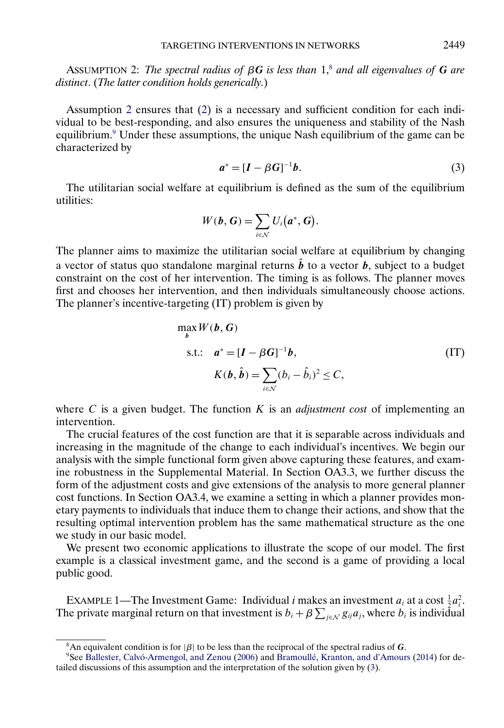<span id="page-4-0"></span>ASSUMPTION 2: *The spectral radius of* βG *is less than* 1,8 *and all eigenvalues of* G *are distinct*. (*The latter condition holds generically*.)

Assumption 2 ensures that [\(2\)](#page-3-0) is a necessary and sufficient condition for each individual to be best-responding, and also ensures the uniqueness and stability of the Nash equilibrium.<sup>9</sup> Under these assumptions, the unique Nash equilibrium of the game can be characterized by

$$
a^* = [I - \beta G]^{-1}b. \tag{3}
$$

The utilitarian social welfare at equilibrium is defined as the sum of the equilibrium utilities:

$$
W(\boldsymbol{b},\boldsymbol{G})=\sum_{i\in\mathcal{N}}U_i(\boldsymbol{a}^*,\boldsymbol{G}).
$$

The planner aims to maximize the utilitarian social welfare at equilibrium by changing a vector of status quo standalone marginal returns  $\hat{b}$  to a vector b, subject to a budget constraint on the cost of her intervention. The timing is as follows. The planner moves first and chooses her intervention, and then individuals simultaneously choose actions. The planner's incentive-targeting (IT) problem is given by

$$
\max_{b} W(b, G)
$$
  
s.t.:  $a^* = [I - \beta G]^{-1}b$ ,  

$$
K(b, \hat{b}) = \sum_{i \in \mathcal{N}} (b_i - \hat{b}_i)^2 \le C
$$
, (IT)

where C is a given budget. The function K is an *adjustment cost* of implementing an intervention.

The crucial features of the cost function are that it is separable across individuals and increasing in the magnitude of the change to each individual's incentives. We begin our analysis with the simple functional form given above capturing these features, and examine robustness in the Supplemental Material. In Section OA3.3, we further discuss the form of the adjustment costs and give extensions of the analysis to more general planner cost functions. In Section OA3.4, we examine a setting in which a planner provides monetary payments to individuals that induce them to change their actions, and show that the resulting optimal intervention problem has the same mathematical structure as the one we study in our basic model.

We present two economic applications to illustrate the scope of our model. The first example is a classical investment game, and the second is a game of providing a local public good.

EXAMPLE 1—The Investment Game: Individual *i* makes an investment  $a_i$  at a cost  $\frac{1}{2}a_i^2$ . The private marginal return on that investment is  $b_i + \beta \sum_{j \in \mathcal{N}} g_{ij} a_j$ , where  $b_i$  is individual

<sup>&</sup>lt;sup>8</sup>An equivalent condition is for  $|\beta|$  to be less than the reciprocal of the spectral radius of G.

<sup>9</sup>See [Ballester, Calvó-Armengol, and Zenou](#page-25-0) [\(2006\)](#page-25-0) and [Bramoullé, Kranton, and d'Amours](#page-25-0) [\(2014\)](#page-25-0) for detailed discussions of this assumption and the interpretation of the solution given by (3).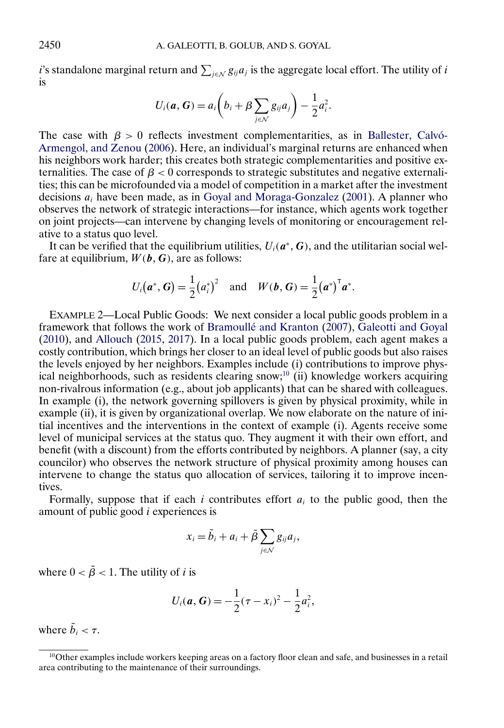i's standalone marginal return and  $\sum_{j \in \mathcal{N}} g_{ij} a_j$  is the aggregate local effort. The utility of i is

$$
U_i(\boldsymbol{a},\boldsymbol{G})=a_i\bigg(b_i+\beta\sum_{j\in\mathcal{N}}g_{ij}a_j\bigg)-\frac{1}{2}a_i^2.
$$

The case with  $\beta > 0$  reflects investment complementarities, as in [Ballester, Calvó-](#page-25-0)[Armengol, and Zenou](#page-25-0) [\(2006\)](#page-25-0). Here, an individual's marginal returns are enhanced when his neighbors work harder; this creates both strategic complementarities and positive externalities. The case of  $\beta < 0$  corresponds to strategic substitutes and negative externalities; this can be microfounded via a model of competition in a market after the investment decisions  $a_i$  have been made, as in [Goyal and Moraga-Gonzalez](#page-25-0) [\(2001\)](#page-25-0). A planner who observes the network of strategic interactions—for instance, which agents work together on joint projects—can intervene by changing levels of monitoring or encouragement relative to a status quo level.

It can be verified that the equilibrium utilities,  $U_i(\boldsymbol{a}^*, \boldsymbol{G})$ , and the utilitarian social welfare at equilibrium,  $W(b, G)$ , are as follows:

$$
U_i(\bm{a}^*, \bm{G}) = \frac{1}{2} (a_i^*)^2
$$
 and  $W(\bm{b}, \bm{G}) = \frac{1}{2} (\bm{a}^*)^T \bm{a}^*$ .

EXAMPLE 2—Local Public Goods: We next consider a local public goods problem in a framework that follows the work of [Bramoullé and Kranton](#page-25-0) [\(2007\)](#page-25-0), [Galeotti and Goyal](#page-25-0) [\(2010\)](#page-25-0), and [Allouch](#page-24-0) [\(2015,](#page-24-0) [2017\)](#page-24-0). In a local public goods problem, each agent makes a costly contribution, which brings her closer to an ideal level of public goods but also raises the levels enjoyed by her neighbors. Examples include (i) contributions to improve physical neighborhoods, such as residents clearing snow;<sup>10</sup> (ii) knowledge workers acquiring non-rivalrous information (e.g., about job applicants) that can be shared with colleagues. In example (i), the network governing spillovers is given by physical proximity, while in example (ii), it is given by organizational overlap. We now elaborate on the nature of initial incentives and the interventions in the context of example (i). Agents receive some level of municipal services at the status quo. They augment it with their own effort, and benefit (with a discount) from the efforts contributed by neighbors. A planner (say, a city councilor) who observes the network structure of physical proximity among houses can intervene to change the status quo allocation of services, tailoring it to improve incentives.

Formally, suppose that if each i contributes effort  $a_i$  to the public good, then the amount of public good  $i$  experiences is

$$
x_i = \tilde{b}_i + a_i + \tilde{\beta} \sum_{j \in \mathcal{N}} g_{ij} a_j,
$$

where  $0 < \tilde{\beta} < 1$ . The utility of *i* is

$$
U_i(\mathbf{a}, \mathbf{G}) = -\frac{1}{2}(\tau - x_i)^2 - \frac{1}{2}a_i^2,
$$

where  $\tilde{b}_i < \tau$ .

<span id="page-5-0"></span>

<sup>10</sup>Other examples include workers keeping areas on a factory floor clean and safe, and businesses in a retail area contributing to the maintenance of their surroundings.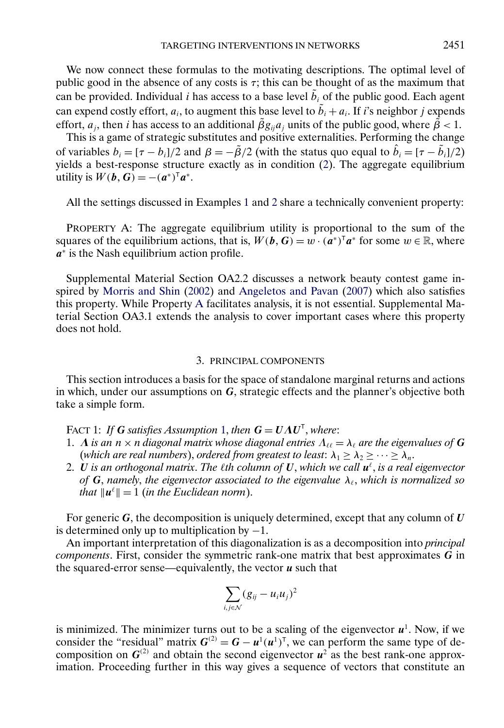<span id="page-6-0"></span>We now connect these formulas to the motivating descriptions. The optimal level of public good in the absence of any costs is  $\tau$ ; this can be thought of as the maximum that can be provided. Individual *i* has access to a base level  $\tilde{b}_i$  of the public good. Each agent can expend costly effort,  $a_i$ , to augment this base level to  $\tilde{b}_i + a_i$ . If i's neighbor j expends effort,  $a_i$ , then i has access to an additional  $\tilde{\beta}g_{ii}a_i$  units of the public good, where  $\tilde{\beta} < 1$ .

This is a game of strategic substitutes and positive externalities. Performing the change of variables  $b_i = [\tau - b_i]/2$  and  $\beta = -\tilde{\beta}/2$  (with the status quo equal to  $\hat{b}_i = [\tau - \tilde{b}_i]/2$ ) yields a best-response structure exactly as in condition [\(2\)](#page-3-0). The aggregate equilibrium utility is  $W(b, G) = -(a^*)^T a^*$ .

All the settings discussed in Examples [1](#page-4-0) and [2](#page-5-0) share a technically convenient property:

PROPERTY A: The aggregate equilibrium utility is proportional to the sum of the squares of the equilibrium actions, that is,  $W(b, G) = w \cdot (a^*)^T a^*$  for some  $w \in \mathbb{R}$ , where  $a<sup>*</sup>$  is the Nash equilibrium action profile.

Supplemental Material Section OA2.2 discusses a network beauty contest game inspired by [Morris and Shin](#page-26-0) [\(2002\)](#page-26-0) and [Angeletos and Pavan](#page-25-0) [\(2007\)](#page-25-0) which also satisfies this property. While Property A facilitates analysis, it is not essential. Supplemental Material Section OA3.1 extends the analysis to cover important cases where this property does not hold.

### 3. PRINCIPAL COMPONENTS

This section introduces a basis for the space of standalone marginal returns and actions in which, under our assumptions on  $G$ , strategic effects and the planner's objective both take a simple form.

FACT 1: If G satisfies Assumption [1,](#page-3-0) then  $G = U \Lambda U^{\dagger}$ , where:

- 1.  $\Lambda$  *is an*  $n \times n$  *diagonal matrix whose diagonal entries*  $\Lambda_{\ell\ell} = \lambda_{\ell}$  *are the eigenvalues of* G (which are real numbers), *ordered from greatest to least*:  $\lambda_1 \geq \lambda_2 \geq \cdots \geq \lambda_n$ .
- 2. U *is an orthogonal matrix*. *The th column of* U, *which we call* u , *is a real eigenvector of* G, namely, the eigenvector associated to the eigenvalue  $\lambda_{\ell}$ , which is normalized so *that*  $||u^{\ell}|| = 1$  (*in the Euclidean norm*).

For generic  $G$ , the decomposition is uniquely determined, except that any column of  $U$ is determined only up to multiplication by  $-1$ .

An important interpretation of this diagonalization is as a decomposition into *principal components*. First, consider the symmetric rank-one matrix that best approximates G in the squared-error sense—equivalently, the vector  $u$  such that

$$
\sum_{i,j\in\mathcal{N}}(g_{ij}-u_iu_j)^2
$$

is minimized. The minimizer turns out to be a scaling of the eigenvector  $u^1$ . Now, if we consider the "residual" matrix  $G^{(2)} = G - u^{(1)}(u^{(1)})$ , we can perform the same type of decomposition on  $G^{(2)}$  and obtain the second eigenvector  $u^2$  as the best rank-one approximation. Proceeding further in this way gives a sequence of vectors that constitute an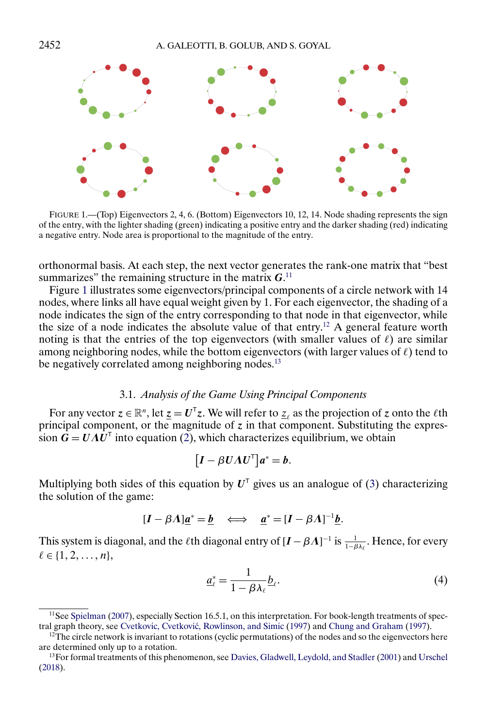<span id="page-7-0"></span>

FIGURE 1.—(Top) Eigenvectors 2, 4, 6. (Bottom) Eigenvectors 10, 12, 14. Node shading represents the sign of the entry, with the lighter shading (green) indicating a positive entry and the darker shading (red) indicating a negative entry. Node area is proportional to the magnitude of the entry.

orthonormal basis. At each step, the next vector generates the rank-one matrix that "best summarizes" the remaining structure in the matrix  $G$ .<sup>11</sup>

Figure 1 illustrates some eigenvectors/principal components of a circle network with 14 nodes, where links all have equal weight given by 1. For each eigenvector, the shading of a node indicates the sign of the entry corresponding to that node in that eigenvector, while the size of a node indicates the absolute value of that entry.<sup>12</sup> A general feature worth noting is that the entries of the top eigenvectors (with smaller values of  $\ell$ ) are similar among neighboring nodes, while the bottom eigenvectors (with larger values of  $\ell$ ) tend to be negatively correlated among neighboring nodes.<sup>13</sup>

### 3.1. *Analysis of the Game Using Principal Components*

For any vector  $z \in \mathbb{R}^n$ , let  $\underline{z} = U^T z$ . We will refer to  $\underline{z}_\ell$  as the projection of z onto the  $\ell$ th principal component, or the magnitude of  $z$  in that component. Substituting the expres- $\vec{G} = U \Lambda \vec{U}^{\dagger}$  into equation [\(2\)](#page-3-0), which characterizes equilibrium, we obtain

$$
[I - \beta U \Lambda U^{\mathsf{T}}]a^* = b.
$$

Multiplying both sides of this equation by  $U^{\dagger}$  gives us an analogue of [\(3\)](#page-4-0) characterizing the solution of the game:

$$
[I - \beta \Lambda] \underline{a}^* = \underline{b} \iff \underline{a}^* = [I - \beta \Lambda]^{-1} \underline{b}.
$$

This system is diagonal, and the  $\ell$ th diagonal entry of  $[I - \beta A]^{-1}$  is  $\frac{1}{1-\beta\lambda_\ell}$ . Hence, for every  $\ell \in \{1, 2, ..., n\},\$ 

$$
\underline{a}_{\ell}^* = \frac{1}{1 - \beta \lambda_{\ell}} \underline{b}_{\ell}.\tag{4}
$$

<sup>&</sup>lt;sup>11</sup>See [Spielman](#page-26-0) [\(2007\)](#page-26-0), especially Section 16.5.1, on this interpretation. For book-length treatments of spec-tral graph theory, see Cvetkovic, Cvetković, Rowlinson, and Simic [\(1997\)](#page-25-0) and [Chung and Graham](#page-25-0) (1997).

 $12$ The circle network is invariant to rotations (cyclic permutations) of the nodes and so the eigenvectors here are determined only up to a rotation.

<sup>&</sup>lt;sup>13</sup>For formal treatments of this phenomenon, see [Davies, Gladwell, Leydold, and Stadler](#page-25-0) [\(2001\)](#page-25-0) and [Urschel](#page-26-0) [\(2018\)](#page-26-0).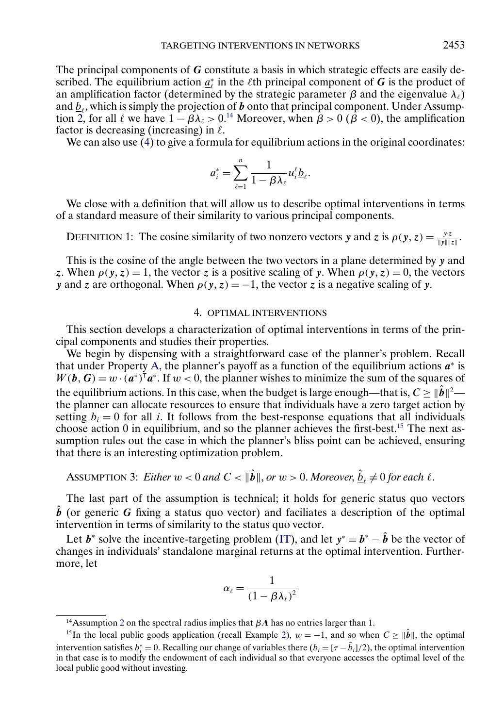<span id="page-8-0"></span>The principal components of G constitute a basis in which strategic effects are easily described. The equilibrium action  $\underline{a}^*_{\ell}$  in the  $\ell$ th principal component of G is the product of an amplification factor (determined by the strategic parameter  $\beta$  and the eigenvalue  $\lambda_{\ell}$ ) and  $b_{\ell}$ , which is simply the projection of **b** onto that principal component. Under Assump-tion [2,](#page-4-0) for all  $\ell$  we have  $1 - \beta \lambda_{\ell} > 0.14$  Moreover, when  $\beta > 0$  ( $\beta < 0$ ), the amplification factor is decreasing (increasing) in  $\ell$ .

We can also use [\(4\)](#page-7-0) to give a formula for equilibrium actions in the original coordinates:

$$
a_i^* = \sum_{\ell=1}^n \frac{1}{1 - \beta \lambda_\ell} u_i^{\ell} \underline{b}_{\ell}.
$$

We close with a definition that will allow us to describe optimal interventions in terms of a standard measure of their similarity to various principal components.

DEFINITION 1: The cosine similarity of two nonzero vectors y and z is  $\rho(y, z) = \frac{y \cdot z}{\|y\| \|z\|}$ .

This is the cosine of the angle between the two vectors in a plane determined by y and z. When  $\rho(y, z) = 1$ , the vector z is a positive scaling of y. When  $\rho(y, z) = 0$ , the vectors y and z are orthogonal. When  $\rho(y, z) = -1$ , the vector z is a negative scaling of y.

## 4. OPTIMAL INTERVENTIONS

This section develops a characterization of optimal interventions in terms of the principal components and studies their properties.

We begin by dispensing with a straightforward case of the planner's problem. Recall that under Property [A,](#page-6-0) the planner's payoff as a function of the equilibrium actions  $a^*$  is  $W(b, G) = w \cdot (a^*)^T a^*$ . If  $w < 0$ , the planner wishes to minimize the sum of the squares of the equilibrium actions. In this case, when the budget is large enough—that is,  $C \geq \|\hat{b}\|^2$  the planner can allocate resources to ensure that individuals have a zero target action by setting  $b_i = 0$  for all i. It follows from the best-response equations that all individuals choose action  $0$  in equilibrium, and so the planner achieves the first-best.<sup>15</sup> The next assumption rules out the case in which the planner's bliss point can be achieved, ensuring that there is an interesting optimization problem.

Assumprion 3: *Either* 
$$
w < 0
$$
 *and*  $C < \|\hat{\bm{b}}\|$ , *or*  $w > 0$ . *Moreover,*  $\hat{\underline{b}}_{\ell} \neq 0$  *for each*  $\ell$ .

The last part of the assumption is technical; it holds for generic status quo vectors  $\hat{b}$  (or generic G fixing a status quo vector) and faciliates a description of the optimal intervention in terms of similarity to the status quo vector.

Let  $b^*$  solve the incentive-targeting problem [\(IT\)](#page-4-0), and let  $y^* = b^* - \hat{b}$  be the vector of changes in individuals' standalone marginal returns at the optimal intervention. Furthermore, let

$$
\alpha_{\ell} = \frac{1}{(1 - \beta \lambda_{\ell})^2}
$$

<sup>&</sup>lt;sup>14</sup>Assumption [2](#page-4-0) on the spectral radius implies that  $\beta\Lambda$  has no entries larger than 1.

<sup>&</sup>lt;sup>15</sup>In the local public goods application (recall Example [2\)](#page-5-0),  $w = -1$ , and so when  $C \ge ||\hat{b}||$ , the optimal intervention satisfies  $b_i^* = 0$ . Recalling our change of variables there  $(b_i = [\tau - \tilde{b}_i]/2)$ , the optimal intervention in that case is to modify the endowment of each individual so that everyone accesses the optimal level of the local public good without investing.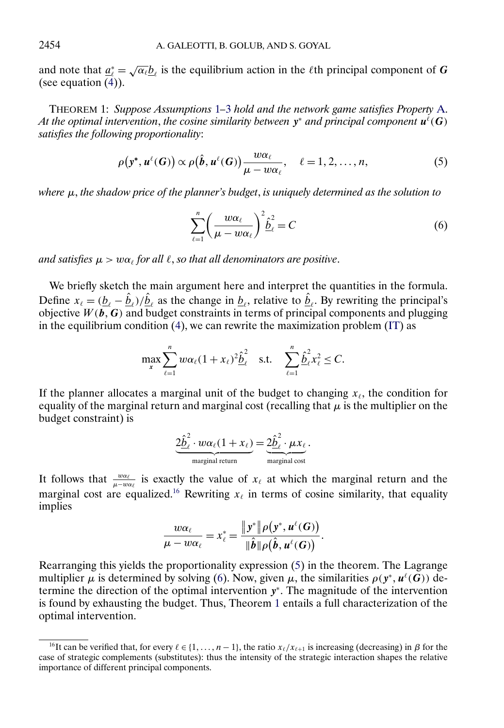<span id="page-9-0"></span>and note that  $\underline{a}^* = \sqrt{\alpha_\ell} \underline{b}_\ell$  is the equilibrium action in the  $\ell$ th principal component of G (see equation  $(4)$ ).

THEOREM 1: *Suppose Assumptions* [1](#page-3-0)*–*[3](#page-8-0) *hold and the network game satisfies Property* [A.](#page-6-0) *At the optimal intervention*, *the cosine similarity between* y<sup>∗</sup> *and principal component* u (G) *satisfies the following proportionality*:

$$
\rho(\mathbf{y}^*, \mathbf{u}^{\ell}(\mathbf{G})) \propto \rho(\hat{\mathbf{b}}, \mathbf{u}^{\ell}(\mathbf{G})) \frac{w\alpha_{\ell}}{\mu - w\alpha_{\ell}}, \quad \ell = 1, 2, ..., n,
$$
\n(5)

*where* μ, *the shadow price of the planner's budget*, *is uniquely determined as the solution to*

$$
\sum_{\ell=1}^{n} \left( \frac{w\alpha_{\ell}}{\mu - w\alpha_{\ell}} \right)^2 \hat{\underline{b}}_{\ell}^2 = C \tag{6}
$$

*and satisfies*  $\mu > w\alpha$  *for all*  $\ell$ *, so that all denominators are positive.* 

We briefly sketch the main argument here and interpret the quantities in the formula. Define  $x_{\ell} = (\underline{b}_{\ell} - \hat{\underline{b}}_{\ell})/\hat{\underline{b}}_{\ell}$  as the change in  $\underline{b}_{\ell}$ , relative to  $\hat{\underline{b}}_{\ell}$ . By rewriting the principal's objective  $W(b, G)$  and budget constraints in terms of principal components and plugging in the equilibrium condition [\(4\)](#page-7-0), we can rewrite the maximization problem [\(IT\)](#page-4-0) as

$$
\max_{\mathbf{x}} \sum_{\ell=1}^n w \alpha_\ell (1+x_\ell)^2 \hat{\underline{b}}_\ell^2 \quad \text{s.t.} \quad \sum_{\ell=1}^n \hat{\underline{b}}_\ell^2 x_\ell^2 \leq C.
$$

If the planner allocates a marginal unit of the budget to changing  $x_{\ell}$ , the condition for equality of the marginal return and marginal cost (recalling that  $\mu$  is the multiplier on the budget constraint) is

$$
\underbrace{2\hat{\underline{b}}_{\ell}^2 \cdot w\alpha_{\ell}(1+x_{\ell})}_{\text{marginal return}} = \underbrace{2\hat{\underline{b}}_{\ell}^2 \cdot \mu x_{\ell}}_{\text{marginal cost}}.
$$

It follows that  $\frac{w\alpha_\ell}{\mu - w\alpha_\ell}$  is exactly the value of  $x_\ell$  at which the marginal return and the marginal cost are equalized.<sup>16</sup> Rewriting  $x_{\ell}$  in terms of cosine similarity, that equality implies

$$
\frac{w\alpha_{\ell}}{\mu - w\alpha_{\ell}} = x_{\ell}^* = \frac{\|y^*\| \rho(y^*, u^{\ell}(G))}{\|\hat{\boldsymbol{b}}\| \rho(\hat{\boldsymbol{b}}, u^{\ell}(G))}.
$$

Rearranging this yields the proportionality expression (5) in the theorem. The Lagrange multiplier  $\mu$  is determined by solving (6). Now, given  $\mu$ , the similarities  $\rho(y^*, u^{\ell}(G))$  determine the direction of the optimal intervention y<sup>∗</sup>. The magnitude of the intervention is found by exhausting the budget. Thus, Theorem 1 entails a full characterization of the optimal intervention.

<sup>&</sup>lt;sup>16</sup>It can be verified that, for every  $\ell \in \{1, ..., n-1\}$ , the ratio  $x_{\ell}/x_{\ell+1}$  is increasing (decreasing) in  $\beta$  for the case of strategic complements (substitutes): thus the intensity of the strategic interaction shapes the relative importance of different principal components.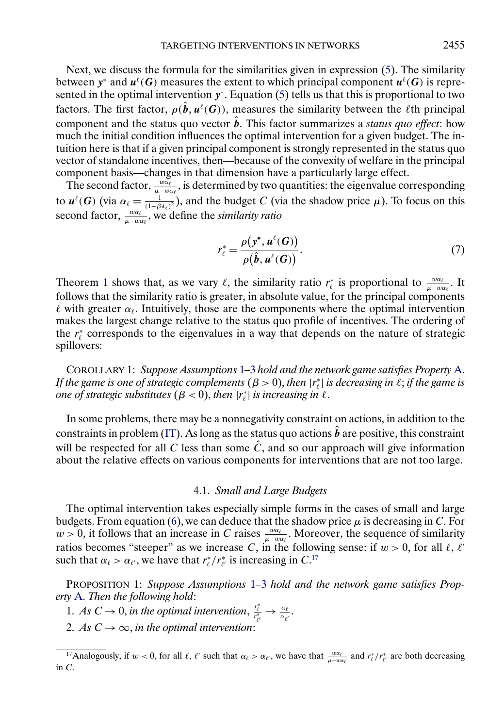<span id="page-10-0"></span>Next, we discuss the formula for the similarities given in expression [\(5\)](#page-9-0). The similarity between y<sup>∗</sup> and  $u^{\ell}(G)$  measures the extent to which principal component  $u^{\ell}(G)$  is represented in the optimal intervention  $y<sup>*</sup>$ . Equation [\(5\)](#page-9-0) tells us that this is proportional to two factors. The first factor,  $\rho(\hat{\boldsymbol{b}}, \boldsymbol{u}^{\ell}(\boldsymbol{G}))$ , measures the similarity between the  $\ell$ th principal component and the status quo vector  $\hat{b}$ . This factor summarizes a *status quo effect*: how much the initial condition influences the optimal intervention for a given budget. The intuition here is that if a given principal component is strongly represented in the status quo vector of standalone incentives, then—because of the convexity of welfare in the principal component basis—changes in that dimension have a particularly large effect.

The second factor,  $\frac{w\alpha_\ell}{\mu - w\alpha_\ell}$ , is determined by two quantities: the eigenvalue corresponding to  $u^{\ell}(G)$  (via  $\alpha_{\ell} = \frac{1}{(1-\beta\lambda_{\ell})^2}$ ), and the budget C (via the shadow price  $\mu$ ). To focus on this second factor,  $\frac{w\alpha_{\ell}}{\mu - w\alpha_{\ell}}$ , we define the *similarity ratio* 

$$
r_{\ell}^* = \frac{\rho(\mathbf{y}^*, \mathbf{u}^{\ell}(G))}{\rho(\hat{\mathbf{b}}, \mathbf{u}^{\ell}(G))}.
$$
 (7)

Theorem [1](#page-9-0) shows that, as we vary  $\ell$ , the similarity ratio  $r_{\ell}^{*}$  is proportional to  $\frac{w\alpha_{\ell}}{\mu - w\alpha_{\ell}}$ . It follows that the similarity ratio is greater, in absolute value, for the principal components  $\ell$  with greater  $\alpha_{\ell}$ . Intuitively, those are the components where the optimal intervention makes the largest change relative to the status quo profile of incentives. The ordering of the  $r_{\ell}^{*}$  corresponds to the eigenvalues in a way that depends on the nature of strategic spillovers:

COROLLARY 1: *Suppose Assumptions* [1](#page-3-0)*–*[3](#page-8-0) *hold and the network game satisfies Property* [A.](#page-6-0) *If the game is one of strategic complements* (β > 0), *then* |r<sup>∗</sup> | *is decreasing in* ; *if the game is one of strategic substitutes*  $(\beta < 0)$ , *then*  $|r_{\ell}^{*}|$  *is increasing in*  $\ell$ *.* 

In some problems, there may be a nonnegativity constraint on actions, in addition to the constraints in problem [\(IT\)](#page-4-0). As long as the status quo actions  $\hat{b}$  are positive, this constraint will be respected for all C less than some  $\hat{C}$ , and so our approach will give information about the relative effects on various components for interventions that are not too large.

# 4.1. *Small and Large Budgets*

The optimal intervention takes especially simple forms in the cases of small and large budgets. From equation [\(6\)](#page-9-0), we can deduce that the shadow price  $\mu$  is decreasing in C. For  $w > 0$ , it follows that an increase in C raises  $\frac{w\alpha_\ell}{\mu - w\alpha_\ell}$ . Moreover, the sequence of similarity ratios becomes "steeper" as we increase C, in the following sense: if  $w > 0$ , for all  $\ell$ ,  $\ell'$ such that  $\alpha_{\ell} > \alpha_{\ell'}$ , we have that  $r_{\ell}^* / r_{\ell'}^*$  is increasing in  $C^{17}$ .

PROPOSITION 1: *Suppose Assumptions* [1](#page-3-0)*–*[3](#page-8-0) *hold and the network game satisfies Property* [A.](#page-6-0) *Then the following hold*:

1. As  $C \to 0$ , in the optimal intervention,  $\frac{r_{\ell}^*}{r_{\ell'}} \to \frac{\alpha_{\ell}}{\alpha_{\ell'}}$ .

2. *As*  $C \rightarrow \infty$ , *in the optimal intervention*:

<sup>&</sup>lt;sup>17</sup>Analogously, if  $w < 0$ , for all  $\ell$ ,  $\ell'$  such that  $\alpha_{\ell} > \alpha_{\ell'}$ , we have that  $\frac{w\alpha_{\ell}}{\mu - w\alpha_{\ell}}$  and  $r_{\ell}^{*}/r_{\ell'}^{*}$  are both decreasing in C.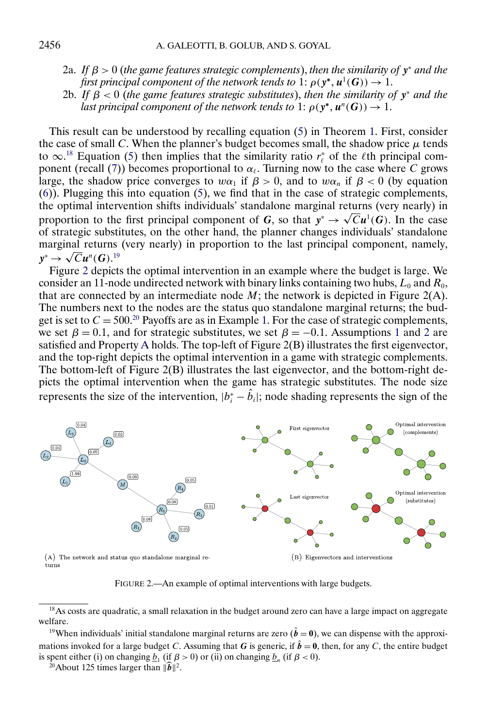- 2a. *If* β > 0 (*the game features strategic complements*), *then the similarity of* y<sup>∗</sup> *and the first principal component of the network tends to 1:*  $\rho(\mathbf{y}^*, \mathbf{u}^1(\mathbf{G})) \to 1$ .
- 2b. *If* β < 0 (*the game features strategic substitutes*), *then the similarity of* y<sup>∗</sup> *and the* last principal component of the network tends to  $1$ :  $\rho(y^*,u^n(G)) \to 1$ .

This result can be understood by recalling equation [\(5\)](#page-9-0) in Theorem [1.](#page-9-0) First, consider the case of small C. When the planner's budget becomes small, the shadow price  $\mu$  tends to  $\infty$ .<sup>18</sup> Equation [\(5\)](#page-9-0) then implies that the similarity ratio  $r^*_{\ell}$  of the  $\ell$ th principal com-ponent (recall [\(7\)](#page-10-0)) becomes proportional to  $\alpha_{\ell}$ . Turning now to the case where C grows large, the shadow price converges to  $w\alpha_1$  if  $\beta > 0$ , and to  $w\alpha_n$  if  $\beta < 0$  (by equation [\(6\)](#page-9-0)). Plugging this into equation [\(5\)](#page-9-0), we find that in the case of strategic complements, the optimal intervention shifts individuals' standalone marginal returns (very nearly) in the optimal intervention shifts individually standalone marginal returns (very nearly) in<br>proportion to the first principal component of G, so that  $y^* \to \sqrt{C}u^1(G)$ . In the case of strategic substitutes, on the other hand, the planner changes individuals' standalone marginal returns (very nearly) in proportion to the last principal component, namely, marginal returns<br> $y^* \to \sqrt{C}u^n(G).^{19}$ 

Figure 2 depicts the optimal intervention in an example where the budget is large. We consider an 11-node undirected network with binary links containing two hubs,  $L_0$  and  $R_0$ , that are connected by an intermediate node  $M$ ; the network is depicted in Figure 2(A). The numbers next to the nodes are the status quo standalone marginal returns; the budget is set to  $C = 500$ .<sup>20</sup> Payoffs are as in Example [1.](#page-4-0) For the case of strategic complements, we set  $\beta = 0.1$  $\beta = 0.1$ , and for strategic substitutes, we set  $\beta = -0.1$ . Assumptions 1 and [2](#page-4-0) are satisfied and Property [A](#page-6-0) holds. The top-left of Figure 2(B) illustrates the first eigenvector, and the top-right depicts the optimal intervention in a game with strategic complements. The bottom-left of Figure  $2(B)$  illustrates the last eigenvector, and the bottom-right depicts the optimal intervention when the game has strategic substitutes. The node size represents the size of the intervention,  $|b_i^* - \hat{b}_i|$ ; node shading represents the sign of the



turns

FIGURE 2.—An example of optimal interventions with large budgets.

<sup>&</sup>lt;sup>18</sup>As costs are quadratic, a small relaxation in the budget around zero can have a large impact on aggregate welfare.

<sup>&</sup>lt;sup>19</sup>When individuals' initial standalone marginal returns are zero  $(\hat{b}=0)$ , we can dispense with the approximations invoked for a large budget C. Assuming that G is generic, if  $\hat{b} = 0$ , then, for any C, the entire budget is spent either (i) on changing  $\underline{b}_1$  (if  $\beta > 0$ ) or (ii) on changing  $\underline{b}_n$  (if  $\beta < 0$ ).<br><sup>20</sup>About 125 times larger than  $\|\hat{\bm{b}}\|^2$ .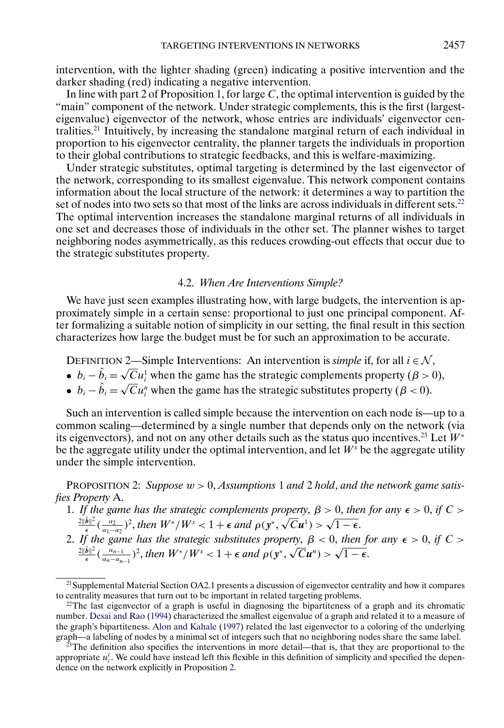<span id="page-12-0"></span>intervention, with the lighter shading (green) indicating a positive intervention and the darker shading (red) indicating a negative intervention.

In line with part 2 of Proposition [1,](#page-10-0) for large C, the optimal intervention is guided by the "main" component of the network. Under strategic complements, this is the first (largesteigenvalue) eigenvector of the network, whose entries are individuals' eigenvector centralities.<sup>21</sup> Intuitively, by increasing the standalone marginal return of each individual in proportion to his eigenvector centrality, the planner targets the individuals in proportion to their global contributions to strategic feedbacks, and this is welfare-maximizing.

Under strategic substitutes, optimal targeting is determined by the last eigenvector of the network, corresponding to its smallest eigenvalue. This network component contains information about the local structure of the network: it determines a way to partition the set of nodes into two sets so that most of the links are across individuals in different sets.<sup>22</sup> The optimal intervention increases the standalone marginal returns of all individuals in one set and decreases those of individuals in the other set. The planner wishes to target neighboring nodes asymmetrically, as this reduces crowding-out effects that occur due to the strategic substitutes property.

## 4.2. *When Are Interventions Simple?*

We have just seen examples illustrating how, with large budgets, the intervention is approximately simple in a certain sense: proportional to just one principal component. After formalizing a suitable notion of simplicity in our setting, the final result in this section characterizes how large the budget must be for such an approximation to be accurate.

DEFINITION 2—Simple Interventions: An intervention is *simple* if, for all  $i \in \mathcal{N}$ ,

- **DEFINITION** 2—simple interventions. All intervention is *simple* it, for all  $t \in \mathcal{N}$ ,<br>  $\bullet$   $b_i \hat{b}_i = \sqrt{C}u_i^1$  when the game has the strategic complements property ( $\beta > 0$ ),
- $b_i b_i = \sqrt{C} u_i^n$  when the game has the strategic complements property ( $\beta >$ <br>•  $b_i \hat{b}_i = \sqrt{C} u_i^n$  when the game has the strategic substitutes property ( $\beta < 0$ ).

Such an intervention is called simple because the intervention on each node is—up to a common scaling—determined by a single number that depends only on the network (via its eigenvectors), and not on any other details such as the status quo incentives.<sup>23</sup> Let  $W^*$ be the aggregate utility under the optimal intervention, and let  $W^s$  be the aggregate utility under the simple intervention.

PROPOSITION 2: *Suppose* w > 0, *Assumptions* [1](#page-3-0) *and* [2](#page-4-0) *hold*, *and the network game satisfies Property* [A.](#page-6-0)

- 1. *If the game has the strategic complements property*,  $\beta > 0$ , *then for any*  $\epsilon > 0$ , *if*  $C > 0$ *x t*) *the game has the strategic complements property,*  $p > 0$ *, <i>then*  $\frac{2\|\hat{\boldsymbol{b}}\|^2}{\epsilon}(\frac{\alpha_2}{\alpha_1-\alpha_2})^2$ , *then*  $W^*/W^s < 1 + \epsilon$  *and*  $\rho(\mathbf{y}^*, \sqrt{C}\mathbf{u}^1) > \sqrt{1-\epsilon}$ .
- 2. If the game has the strategic substitutes property,  $\beta < 0$ , then for any  $\epsilon > 0$ , if  $C >$  $\frac{2\|\hat{\boldsymbol{b}}\|^2}{\epsilon}(\frac{\alpha_{n-1}}{\alpha_n-\alpha_{n-1}})^2$ , then  $W^*/W^s < 1 + \epsilon$  and  $\rho(\mathbf{y}^*, \sqrt{C}\mathbf{u}^n) > \sqrt{1-\epsilon}$ .

<sup>&</sup>lt;sup>21</sup>Supplemental Material Section OA2.1 presents a discussion of eigenvector centrality and how it compares to centrality measures that turn out to be important in related targeting problems.

 $22$ The last eigenvector of a graph is useful in diagnosing the bipartiteness of a graph and its chromatic number. [Desai and Rao](#page-25-0) [\(1994\)](#page-25-0) characterized the smallest eigenvalue of a graph and related it to a measure of the graph's bipartiteness. [Alon and Kahale](#page-25-0) [\(1997\)](#page-25-0) related the last eigenvector to a coloring of the underlying graph—a labeling of nodes by a minimal set of integers such that no neighboring nodes share the same label.

 $^{23}$ The definition also specifies the interventions in more detail—that is, that they are proportional to the appropriate  $u_i^{\ell}$ . We could have instead left this flexible in this definition of simplicity and specified the dependence on the network explicitly in Proposition 2.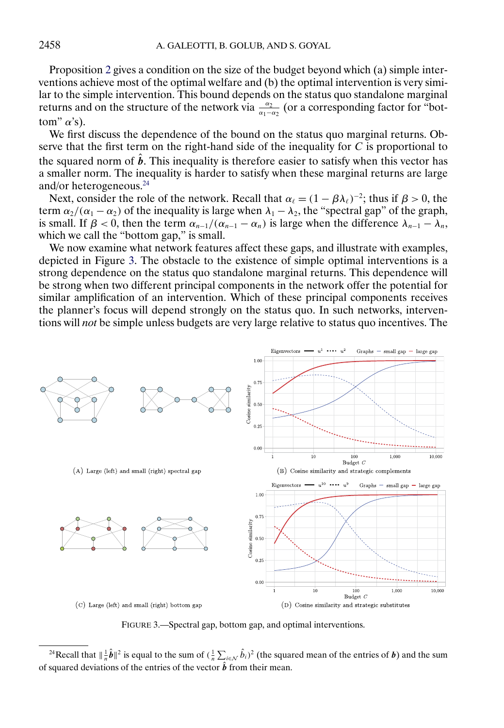<span id="page-13-0"></span>Proposition [2](#page-12-0) gives a condition on the size of the budget beyond which (a) simple interventions achieve most of the optimal welfare and (b) the optimal intervention is very similar to the simple intervention. This bound depends on the status quo standalone marginal returns and on the structure of the network via  $\frac{\alpha_2}{\alpha_1-\alpha_2}$  (or a corresponding factor for "bottom"  $\alpha$ 's).

We first discuss the dependence of the bound on the status quo marginal returns. Observe that the first term on the right-hand side of the inequality for  $C$  is proportional to the squared norm of  $\hat{b}$ . This inequality is therefore easier to satisfy when this vector has a smaller norm. The inequality is harder to satisfy when these marginal returns are large and/or heterogeneous.<sup>24</sup>

Next, consider the role of the network. Recall that  $\alpha_{\ell} = (1 - \beta \lambda_{\ell})^{-2}$ ; thus if  $\beta > 0$ , the term  $\alpha_2/(\alpha_1 - \alpha_2)$  of the inequality is large when  $\lambda_1 - \lambda_2$ , the "spectral gap" of the graph, is small. If  $\beta < 0$ , then the term  $\alpha_{n-1}/(\alpha_{n-1} - \alpha_n)$  is large when the difference  $\lambda_{n-1} - \lambda_n$ , which we call the "bottom gap," is small.

We now examine what network features affect these gaps, and illustrate with examples, depicted in Figure 3. The obstacle to the existence of simple optimal interventions is a strong dependence on the status quo standalone marginal returns. This dependence will be strong when two different principal components in the network offer the potential for similar amplification of an intervention. Which of these principal components receives the planner's focus will depend strongly on the status quo. In such networks, interventions will *not* be simple unless budgets are very large relative to status quo incentives. The



FIGURE 3.—Spectral gap, bottom gap, and optimal interventions.

<sup>&</sup>lt;sup>24</sup> Recall that  $\|\frac{1}{n}\hat{b}\|^2$  is equal to the sum of  $(\frac{1}{n}\sum_{i\in\mathcal{N}}\hat{b}_i)^2$  (the squared mean of the entries of  $b$ ) and the sum of squared deviations of the entries of the vector  $\hat{b}$  from their mean.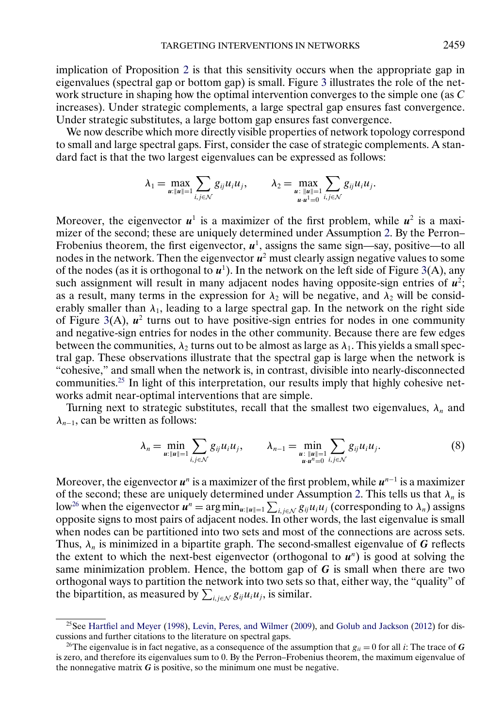<span id="page-14-0"></span>implication of Proposition [2](#page-12-0) is that this sensitivity occurs when the appropriate gap in eigenvalues (spectral gap or bottom gap) is small. Figure [3](#page-13-0) illustrates the role of the network structure in shaping how the optimal intervention converges to the simple one (as C increases). Under strategic complements, a large spectral gap ensures fast convergence. Under strategic substitutes, a large bottom gap ensures fast convergence.

We now describe which more directly visible properties of network topology correspond to small and large spectral gaps. First, consider the case of strategic complements. A standard fact is that the two largest eigenvalues can be expressed as follows:

$$
\lambda_1 = \max_{u: ||u||=1} \sum_{i,j \in \mathcal{N}} g_{ij} u_i u_j, \qquad \lambda_2 = \max_{\substack{u: ||u||=1 \\ u \cdot u^1=0}} \sum_{i,j \in \mathcal{N}} g_{ij} u_i u_j.
$$

Moreover, the eigenvector  $u^1$  is a maximizer of the first problem, while  $u^2$  is a maximizer of the second; these are uniquely determined under Assumption [2.](#page-4-0) By the Perron– Frobenius theorem, the first eigenvector,  $u^1$ , assigns the same sign—say, positive—to all nodes in the network. Then the eigenvector  $u^2$  must clearly assign negative values to some of the nodes (as it is orthogonal to  $u^1$ ). In the network on the left side of Figure [3\(](#page-13-0)A), any such assignment will result in many adjacent nodes having opposite-sign entries of  $u^2$ ; as a result, many terms in the expression for  $\lambda_2$  will be negative, and  $\lambda_2$  will be considerably smaller than  $\lambda_1$ , leading to a large spectral gap. In the network on the right side of Figure [3\(](#page-13-0)A),  $u^2$  turns out to have positive-sign entries for nodes in one community and negative-sign entries for nodes in the other community. Because there are few edges between the communities,  $\lambda_2$  turns out to be almost as large as  $\lambda_1$ . This yields a small spectral gap. These observations illustrate that the spectral gap is large when the network is "cohesive," and small when the network is, in contrast, divisible into nearly-disconnected communities.<sup>25</sup> In light of this interpretation, our results imply that highly cohesive networks admit near-optimal interventions that are simple.

Turning next to strategic substitutes, recall that the smallest two eigenvalues,  $\lambda_n$  and  $\lambda_{n-1}$ , can be written as follows:

$$
\lambda_n = \min_{\mathbf{u} : \|\mathbf{u}\|=1} \sum_{i,j \in \mathcal{N}} g_{ij} u_i u_j, \qquad \lambda_{n-1} = \min_{\substack{\mathbf{u} : \|\mathbf{u}\|=1 \\ \mathbf{u} \cdot \mathbf{u}'^2 = 0}} \sum_{i,j \in \mathcal{N}} g_{ij} u_i u_j.
$$
 (8)

Moreover, the eigenvector  $u^n$  is a maximizer of the first problem, while  $u^{n-1}$  is a maximizer of the second; these are uniquely determined under Assumption [2.](#page-4-0) This tells us that  $\lambda_n$  is low<sup>26</sup> when the eigenvector  $\mathbf{u}^n = \arg \min_{\mathbf{u} : \|\mathbf{u}\| = 1} \sum_{i,j \in \mathcal{N}} g_{ij} u_i u_j$  (corresponding to  $\lambda_n$ ) assigns opposite signs to most pairs of adjacent nodes. In other words, the last eigenvalue is small when nodes can be partitioned into two sets and most of the connections are across sets. Thus,  $\lambda_n$  is minimized in a bipartite graph. The second-smallest eigenvalue of G reflects the extent to which the next-best eigenvector (orthogonal to  $u^n$ ) is good at solving the same minimization problem. Hence, the bottom gap of  $G$  is small when there are two orthogonal ways to partition the network into two sets so that, either way, the "quality" of the bipartition, as measured by  $\sum_{i,j \in \mathcal{N}} g_{ij} u_i u_j$ , is similar.

<sup>&</sup>lt;sup>25</sup>See [Hartfiel and Meyer](#page-25-0) [\(1998\)](#page-25-0), [Levin, Peres, and Wilmer](#page-26-0) [\(2009\)](#page-26-0), and [Golub and Jackson](#page-25-0) [\(2012\)](#page-25-0) for discussions and further citations to the literature on spectral gaps.

<sup>&</sup>lt;sup>26</sup>The eigenvalue is in fact negative, as a consequence of the assumption that  $g_{ii} = 0$  for all *i*: The trace of G is zero, and therefore its eigenvalues sum to 0. By the Perron–Frobenius theorem, the maximum eigenvalue of the nonnegative matrix  $G$  is positive, so the minimum one must be negative.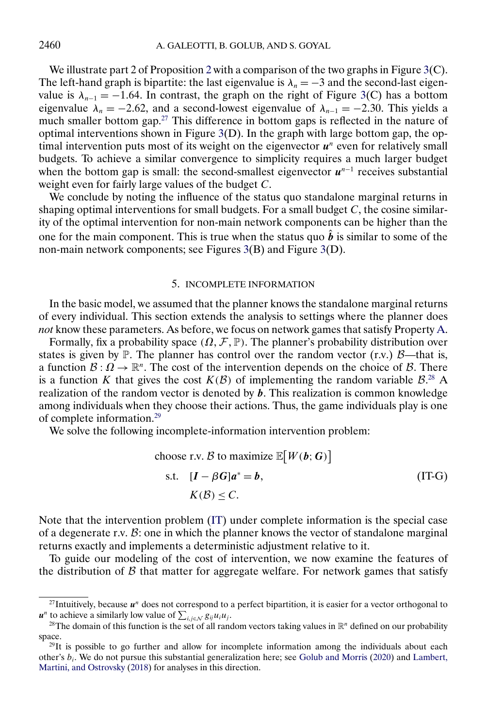<span id="page-15-0"></span>We illustrate part [2](#page-12-0) of Proposition 2 with a comparison of the two graphs in Figure  $3(C)$  $3(C)$ . The left-hand graph is bipartite: the last eigenvalue is  $\lambda_n = -3$  and the second-last eigenvalue is  $\lambda_{n-1} = -1.64$ . In contrast, the graph on the right of Figure [3\(](#page-13-0)C) has a bottom eigenvalue  $\lambda_n = -2.62$ , and a second-lowest eigenvalue of  $\lambda_{n-1} = -2.30$ . This yields a much smaller bottom gap.<sup>27</sup> This difference in bottom gaps is reflected in the nature of optimal interventions shown in Figure  $3(D)$  $3(D)$ . In the graph with large bottom gap, the optimal intervention puts most of its weight on the eigenvector  $u^n$  even for relatively small budgets. To achieve a similar convergence to simplicity requires a much larger budget when the bottom gap is small: the second-smallest eigenvector  $u^{n-1}$  receives substantial weight even for fairly large values of the budget  $C$ .

We conclude by noting the influence of the status quo standalone marginal returns in shaping optimal interventions for small budgets. For a small budget  $C$ , the cosine similarity of the optimal intervention for non-main network components can be higher than the one for the main component. This is true when the status quo  $\hat{b}$  is similar to some of the non-main network components; see Figures [3\(](#page-13-0)B) and Figure [3\(](#page-13-0)D).

#### 5. INCOMPLETE INFORMATION

In the basic model, we assumed that the planner knows the standalone marginal returns of every individual. This section extends the analysis to settings where the planner does *not* know these parameters. As before, we focus on network games that satisfy Property [A.](#page-6-0)

Formally, fix a probability space  $(\Omega, \mathcal{F}, \mathbb{P})$ . The planner's probability distribution over states is given by  $\mathbb P$ . The planner has control over the random vector (r.v.)  $\beta$ —that is, a function  $\mathcal{B}: \Omega \to \mathbb{R}^n$ . The cost of the intervention depends on the choice of  $\mathcal{B}$ . There is a function K that gives the cost  $K(\mathcal{B})$  of implementing the random variable  $\mathcal{B}^{28}$ . realization of the random vector is denoted by  $\vec{b}$ . This realization is common knowledge among individuals when they choose their actions. Thus, the game individuals play is one of complete information.29

We solve the following incomplete-information intervention problem:

choose r.v. B to maximize 
$$
\mathbb{E}[W(\mathbf{b}; \mathbf{G})]
$$
  
s.t.  $[\mathbf{I} - \beta \mathbf{G}] \mathbf{a}^* = \mathbf{b}$ ,  
 $K(\mathcal{B}) \leq C$ . (IT-G)

Note that the intervention problem [\(IT\)](#page-4-0) under complete information is the special case of a degenerate r.v. B: one in which the planner knows the vector of standalone marginal returns exactly and implements a deterministic adjustment relative to it.

To guide our modeling of the cost of intervention, we now examine the features of the distribution of  $\beta$  that matter for aggregate welfare. For network games that satisfy

<sup>&</sup>lt;sup>27</sup>Intuitively, because  $u^n$  does not correspond to a perfect bipartition, it is easier for a vector orthogonal to  $u^n$  to achieve a similarly low value of  $\sum_{i}$ 

<sup>&</sup>lt;sup>28</sup>The domain of this function is the set of all random vectors taking values in  $\mathbb{R}^n$  defined on our probability space.

 $^{29}$ It is possible to go further and allow for incomplete information among the individuals about each other's  $b_i$ . We do not pursue this substantial generalization here; see [Golub and Morris](#page-25-0) [\(2020\)](#page-25-0) and [Lambert,](#page-26-0) [Martini, and Ostrovsky](#page-26-0) [\(2018\)](#page-26-0) for analyses in this direction.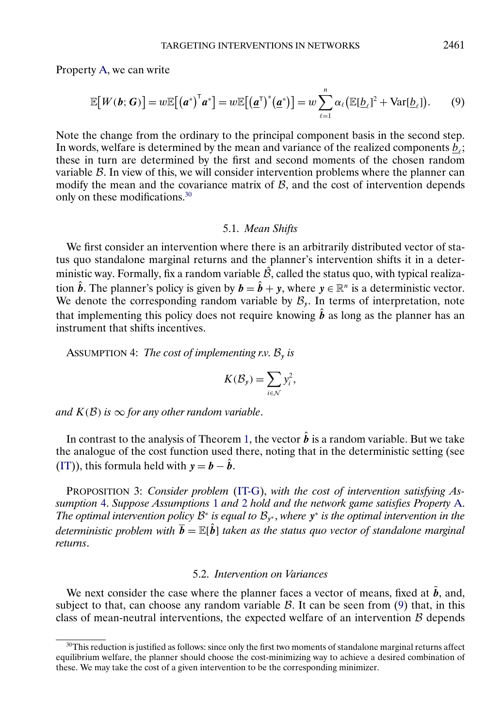<span id="page-16-0"></span>Property [A,](#page-6-0) we can write

$$
\mathbb{E}[W(\boldsymbol{b};\boldsymbol{G})] = w \mathbb{E}[(\boldsymbol{a}^*)^{\mathsf{T}} \boldsymbol{a}^*] = w \mathbb{E}[(\boldsymbol{\underline{a}}^{\mathsf{T}})^* (\boldsymbol{\underline{a}}^*)] = w \sum_{\ell=1}^n \alpha_\ell (\mathbb{E}[\underline{b}_\ell]^2 + \text{Var}[\underline{b}_\ell]). \tag{9}
$$

Note the change from the ordinary to the principal component basis in the second step. In words, welfare is determined by the mean and variance of the realized components  $\vec{b}_i$ ; these in turn are determined by the first and second moments of the chosen random variable  $\beta$ . In view of this, we will consider intervention problems where the planner can modify the mean and the covariance matrix of  $B$ , and the cost of intervention depends only on these modifications.30

### 5.1. *Mean Shifts*

We first consider an intervention where there is an arbitrarily distributed vector of status quo standalone marginal returns and the planner's intervention shifts it in a deterministic way. Formally, fix a random variable  $\hat{\mathcal{B}}$ , called the status quo, with typical realization  $\hat{b}$ . The planner's policy is given by  $b = \hat{b} + y$ , where  $y \in \mathbb{R}^n$  is a deterministic vector. We denote the corresponding random variable by  $\mathcal{B}_{\nu}$ . In terms of interpretation, note that implementing this policy does not require knowing  $\hat{b}$  as long as the planner has an instrument that shifts incentives.

ASSUMPTION 4: *The cost of implementing r*.*v*. B<sup>y</sup> *is*

$$
K(\mathcal{B}_y) = \sum_{i \in \mathcal{N}} y_i^2,
$$

*and*  $K(\mathcal{B})$  *is*  $\infty$  *for any other random variable.* 

In contrast to the analysis of Theorem [1,](#page-9-0) the vector  $\hat{b}$  is a random variable. But we take the analogue of the cost function used there, noting that in the deterministic setting (see [\(IT\)](#page-4-0)), this formula held with  $y = b - \hat{b}$ .

PROPOSITION 3: *Consider problem* [\(IT-G\)](#page-15-0), *with the cost of intervention satisfying Assumption* 4. *Suppose Assumptions* [1](#page-3-0) *and* [2](#page-4-0) *hold and the network game satisfies Property* [A.](#page-6-0) *The optimal intervention policy* B<sup>∗</sup> *is equal to* By<sup>∗</sup> , *where* <sup>y</sup><sup>∗</sup> *is the optimal intervention in the deterministic problem with*  $\overline{b} = \mathbb{E}[\hat{b}]$  *taken as the status quo vector of standalone marginal returns*.

### 5.2. *Intervention on Variances*

We next consider the case where the planner faces a vector of means, fixed at  $\bm{b}$ , and, subject to that, can choose any random variable  $\beta$ . It can be seen from (9) that, in this class of mean-neutral interventions, the expected welfare of an intervention  $\beta$  depends

 $30$ This reduction is justified as follows: since only the first two moments of standalone marginal returns affect equilibrium welfare, the planner should choose the cost-minimizing way to achieve a desired combination of these. We may take the cost of a given intervention to be the corresponding minimizer.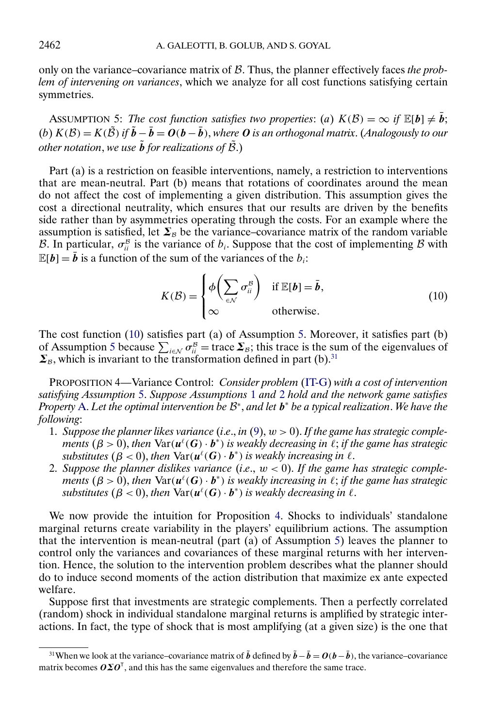<span id="page-17-0"></span>only on the variance–covariance matrix of B. Thus, the planner effectively faces *the problem of intervening on variances*, which we analyze for all cost functions satisfying certain symmetries.

ASSUMPTION 5: *The cost function satisfies two properties*: (*a*)  $K(\mathcal{B}) = \infty$  *if*  $\mathbb{E}[\boldsymbol{b}] \neq \boldsymbol{b}$ ;  $(b) K(\mathcal{B}) = K(\tilde{\mathcal{B}})$  *if*  $\tilde{b} - \bar{b} = O(b - \bar{b})$ , *where* O *is an orthogonal matrix. (Analogously to our other notation, we use*  $\tilde{b}$  *for realizations of*  $\tilde{B}$ *.*)

Part (a) is a restriction on feasible interventions, namely, a restriction to interventions that are mean-neutral. Part (b) means that rotations of coordinates around the mean do not affect the cost of implementing a given distribution. This assumption gives the cost a directional neutrality, which ensures that our results are driven by the benefits side rather than by asymmetries operating through the costs. For an example where the assumption is satisfied, let  $\Sigma_B$  be the variance–covariance matrix of the random variable B. In particular,  $\sigma_{ii}^B$  is the variance of  $b_i$ . Suppose that the cost of implementing B with  $\mathbb{E}[\boldsymbol{b}] = \boldsymbol{b}$  is a function of the sum of the variances of the  $b_i$ :

$$
K(\mathcal{B}) = \begin{cases} \phi\left(\sum_{\in\mathcal{N}} \sigma_{ii}^{\mathcal{B}}\right) & \text{if } \mathbb{E}[\boldsymbol{b}] = \bar{\boldsymbol{b}}, \\ \infty & \text{otherwise.} \end{cases}
$$
(10)

The cost function (10) satisfies part (a) of Assumption 5. Moreover, it satisfies part (b) of Assumption 5 because  $\sum_{i \in \mathcal{N}} \sigma_{ii}^{\mathcal{B}} = \text{trace } \Sigma_{\mathcal{B}}$ ; this trace is the sum of the eigenvalues of  $\Sigma_B$ , which is invariant to the transformation defined in part (b).<sup>31</sup>

PROPOSITION 4—Variance Control: *Consider problem* [\(IT-G\)](#page-15-0) *with a cost of intervention satisfying Assumption* 5. *Suppose Assumptions* [1](#page-3-0) *and* [2](#page-4-0) *hold and the network game satisfies Property* [A.](#page-6-0) *Let the optimal intervention be* <sup>B</sup><sup>∗</sup>, *and let* <sup>b</sup><sup>∗</sup> *be a typical realization*. *We have the following*:

- 1. *Suppose the planner likes variance* (*i*.*e*., *in* [\(9\)](#page-16-0), w > 0). *If the game has strategic complements* (β > 0), then Var(**u**<sup>*ε*</sup>(**G**) · **b**<sup>∗</sup>) is weakly decreasing in ℓ; if the game has strategic *substitutes*  $(\beta < 0)$ , *then*  $\text{Var}(u^{\ell}(G) \cdot b^*)$  *is weakly increasing in*  $\ell$ *.*
- 2. Suppose the planner dislikes variance (*i.e.*,  $w < 0$ ). If the game has strategic comple*ments* (β > 0), *then* Var(**u**<sup> $i$ </sup>(G) ⋅ **b**<sup>\*</sup>) *is weakly increasing in*  $\ell$ ; *if the game has strategic*  $substitutes$  ( $\beta < 0$ ), then  $\text{Var}(\boldsymbol{u}^{\ell}(\boldsymbol{G}) \cdot \boldsymbol{b}^*)$  is weakly decreasing in  $\ell$ .

We now provide the intuition for Proposition 4. Shocks to individuals' standalone marginal returns create variability in the players' equilibrium actions. The assumption that the intervention is mean-neutral (part (a) of Assumption 5) leaves the planner to control only the variances and covariances of these marginal returns with her intervention. Hence, the solution to the intervention problem describes what the planner should do to induce second moments of the action distribution that maximize ex ante expected welfare.

Suppose first that investments are strategic complements. Then a perfectly correlated (random) shock in individual standalone marginal returns is amplified by strategic interactions. In fact, the type of shock that is most amplifying (at a given size) is the one that

<sup>&</sup>lt;sup>31</sup>When we look at the variance–covariance matrix of  $\tilde{b}$  defined by  $\tilde{b} - \bar{b} = O(b - \bar{b})$ , the variance–covariance matrix becomes  $O\Sigma O^{\mathsf{T}}$ , and this has the same eigenvalues and therefore the same trace.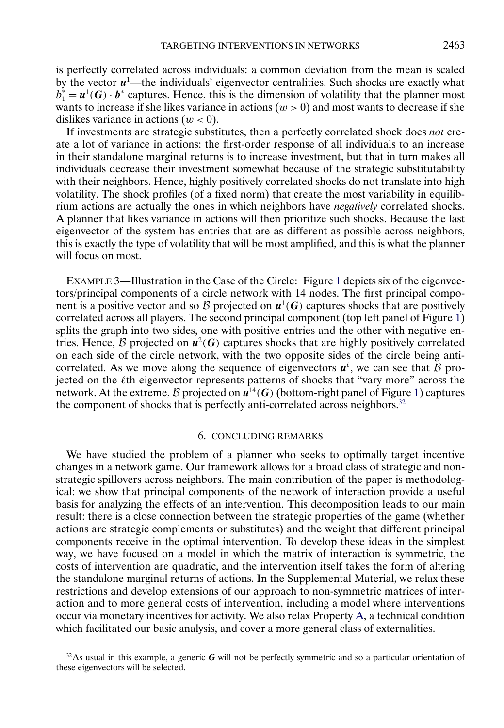<span id="page-18-0"></span>is perfectly correlated across individuals: a common deviation from the mean is scaled by the vector  $u^1$ —the individuals' eigenvector centralities. Such shocks are exactly what  $\underline{b}_1^* = \mathbf{u}^1(G) \cdot \mathbf{b}^*$  captures. Hence, this is the dimension of volatility that the planner most wants to increase if she likes variance in actions  $(w > 0)$  and most wants to decrease if she dislikes variance in actions  $(w < 0)$ .

If investments are strategic substitutes, then a perfectly correlated shock does *not* create a lot of variance in actions: the first-order response of all individuals to an increase in their standalone marginal returns is to increase investment, but that in turn makes all individuals decrease their investment somewhat because of the strategic substitutability with their neighbors. Hence, highly positively correlated shocks do not translate into high volatility. The shock profiles (of a fixed norm) that create the most variability in equilibrium actions are actually the ones in which neighbors have *negatively* correlated shocks. A planner that likes variance in actions will then prioritize such shocks. Because the last eigenvector of the system has entries that are as different as possible across neighbors, this is exactly the type of volatility that will be most amplified, and this is what the planner will focus on most.

EXAMPLE 3—Illustration in the Case of the Circle: Figure [1](#page-7-0) depicts six of the eigenvectors/principal components of a circle network with 14 nodes. The first principal component is a positive vector and so B projected on  $u^1(G)$  captures shocks that are positively correlated across all players. The second principal component (top left panel of Figure [1\)](#page-7-0) splits the graph into two sides, one with positive entries and the other with negative entries. Hence, B projected on  $u^2(G)$  captures shocks that are highly positively correlated on each side of the circle network, with the two opposite sides of the circle being anticorrelated. As we move along the sequence of eigenvectors  $u^{\ell}$ , we can see that B projected on the  $\ell$ th eigenvector represents patterns of shocks that "vary more" across the network. At the extreme, B projected on  $\mathbf{u}^{14}(G)$  (bottom-right panel of Figure [1\)](#page-7-0) captures the component of shocks that is perfectly anti-correlated across neighbors.<sup>32</sup>

## 6. CONCLUDING REMARKS

We have studied the problem of a planner who seeks to optimally target incentive changes in a network game. Our framework allows for a broad class of strategic and nonstrategic spillovers across neighbors. The main contribution of the paper is methodological: we show that principal components of the network of interaction provide a useful basis for analyzing the effects of an intervention. This decomposition leads to our main result: there is a close connection between the strategic properties of the game (whether actions are strategic complements or substitutes) and the weight that different principal components receive in the optimal intervention. To develop these ideas in the simplest way, we have focused on a model in which the matrix of interaction is symmetric, the costs of intervention are quadratic, and the intervention itself takes the form of altering the standalone marginal returns of actions. In the Supplemental Material, we relax these restrictions and develop extensions of our approach to non-symmetric matrices of interaction and to more general costs of intervention, including a model where interventions occur via monetary incentives for activity. We also relax Property [A,](#page-6-0) a technical condition which facilitated our basic analysis, and cover a more general class of externalities.

 $32$ As usual in this example, a generic G will not be perfectly symmetric and so a particular orientation of these eigenvectors will be selected.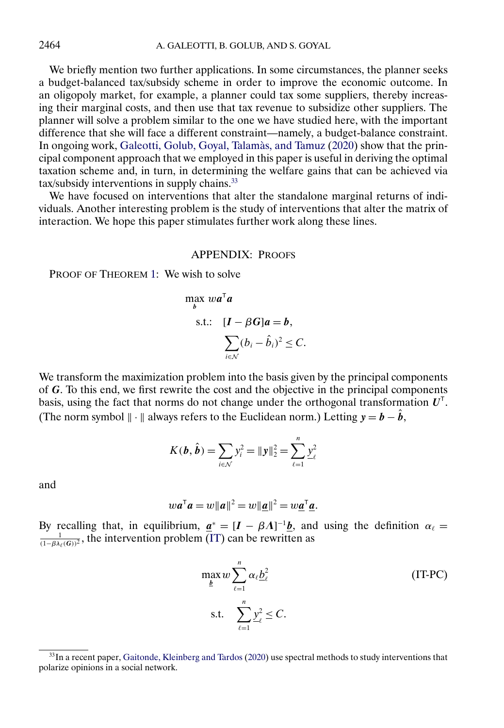<span id="page-19-0"></span>We briefly mention two further applications. In some circumstances, the planner seeks a budget-balanced tax/subsidy scheme in order to improve the economic outcome. In an oligopoly market, for example, a planner could tax some suppliers, thereby increasing their marginal costs, and then use that tax revenue to subsidize other suppliers. The planner will solve a problem similar to the one we have studied here, with the important difference that she will face a different constraint—namely, a budget-balance constraint. In ongoing work, [Galeotti, Golub, Goyal, Talamàs, and Tamuz](#page-25-0) [\(2020\)](#page-25-0) show that the principal component approach that we employed in this paper is useful in deriving the optimal taxation scheme and, in turn, in determining the welfare gains that can be achieved via tax/subsidy interventions in supply chains.<sup>33</sup>

We have focused on interventions that alter the standalone marginal returns of individuals. Another interesting problem is the study of interventions that alter the matrix of interaction. We hope this paper stimulates further work along these lines.

## APPENDIX: PROOFS

PROOF OF THEOREM [1:](#page-9-0) We wish to solve

$$
\max_{b} wa^{\mathsf{T}}a
$$
  
s.t.:  $[I - \beta G]a = b$ ,  

$$
\sum_{i \in \mathcal{N}} (b_i - \hat{b}_i)^2 \leq C.
$$

We transform the maximization problem into the basis given by the principal components of  $G$ . To this end, we first rewrite the cost and the objective in the principal components basis, using the fact that norms do not change under the orthogonal transformation  $U<sup>T</sup>$ . (The norm symbol  $\|\cdot\|$  always refers to the Euclidean norm.) Letting  $y = b - \hat{b}$ ,

$$
K(\mathbf{b}, \hat{\mathbf{b}}) = \sum_{i \in \mathcal{N}} y_i^2 = ||\mathbf{y}||_2^2 = \sum_{\ell=1}^n \underline{y}_{\ell}^2
$$

and

$$
wa^{\mathsf{T}}a = w||a||^2 = w||\underline{a}||^2 = w\underline{a}^{\mathsf{T}}\underline{a}.
$$

By recalling that, in equilibrium,  $\underline{a}^* = [I - \beta \Lambda]^{-1} \underline{b}$ , and using the definition  $\alpha_{\ell} = \frac{1}{\ell}$ , the intervention problem (IT) can be rewritten as  $\frac{1}{(1-\beta\lambda_{\ell}(G))^2}$ , the intervention problem [\(IT\)](#page-4-0) can be rewritten as

$$
\max_{\underline{b}} w \sum_{\ell=1}^{n} \alpha_{\ell} \underline{b}_{\ell}^{2}
$$
 (IT-PC)  
s.t. 
$$
\sum_{\ell=1}^{n} \underline{y}_{\ell}^{2} \leq C.
$$

<sup>&</sup>lt;sup>33</sup>In a recent paper, [Gaitonde, Kleinberg and Tardos](#page-25-0) [\(2020\)](#page-25-0) use spectral methods to study interventions that polarize opinions in a social network.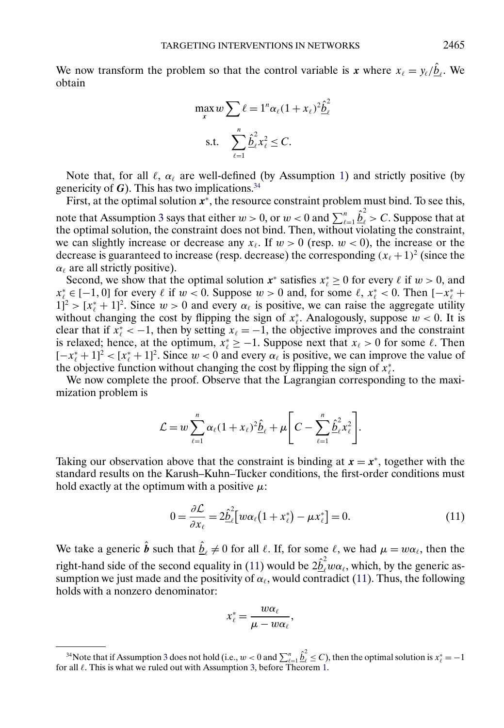We now transform the problem so that the control variable is x where  $x_{\ell} = y_{\ell}/\hat{b}_{\ell}$ . We obtain

$$
\max_{\mathbf{x}} w \sum_{\ell} \ell = 1^n \alpha_{\ell} (1 + x_{\ell})^2 \hat{\underline{b}}_{\ell}^2
$$
  
s.t. 
$$
\sum_{\ell=1}^n \hat{\underline{b}}_{\ell}^2 x_{\ell}^2 \leq C.
$$

Note that, for all  $\ell$ ,  $\alpha_{\ell}$  are well-defined (by Assumption [1\)](#page-3-0) and strictly positive (by genericity of G). This has two implications.<sup>34</sup>

First, at the optimal solution x<sup>∗</sup>, the resource constraint problem must bind. To see this, note that Assumption [3](#page-8-0) says that either  $w > 0$ , or  $w < 0$  and  $\sum_{\ell=1}^n \frac{\hat{b}^2_{\ell}}{\ell} > C$ . Suppose that at the optimal solution, the constraint does not bind. Then, without violating the constraint, we can slightly increase or decrease any  $x_{\ell}$ . If  $w > 0$  (resp.  $w < 0$ ), the increase or the decrease is guaranteed to increase (resp. decrease) the corresponding  $(x_\ell + 1)^2$  (since the  $\alpha_{\ell}$  are all strictly positive).

Second, we show that the optimal solution  $x^*$  satisfies  $x^*_{\ell} \ge 0$  for every  $\ell$  if  $w > 0$ , and  $x_{\ell}^* \in [-1,0]$  for every  $\ell$  if  $w < 0$ . Suppose  $w > 0$  and, for some  $\ell, x_{\ell}^* < 0$ . Then  $[-x_{\ell}^* +$  $1]^2 > [x^*_{\ell} + 1]^2$ . Since  $w > 0$  and every  $\alpha_{\ell}$  is positive, we can raise the aggregate utility without changing the cost by flipping the sign of  $x^*_{\ell}$ . Analogously, suppose  $w < 0$ . It is clear that if  $x^*_{\ell} < -1$ , then by setting  $x_{\ell} = -1$ , the objective improves and the constraint is relaxed; hence, at the optimum,  $x^*_{\ell} \geq -1$ . Suppose next that  $x_{\ell} > 0$  for some  $\ell$ . Then  $[-x^* + 1]^2 < [x^* + 1]^2$ . Since  $w < 0$  and every  $\alpha_{\ell}$  is positive, we can improve the value of the objective function without changing the cost by flipping the sign of  $x^*_{\ell}$ .

We now complete the proof. Observe that the Lagrangian corresponding to the maximization problem is

$$
\mathcal{L} = w \sum_{\ell=1}^n \alpha_\ell (1 + x_\ell)^2 \hat{\underline{b}}_\ell + \mu \Bigg[ C - \sum_{\ell=1}^n \hat{\underline{b}}_\ell^2 x_\ell^2 \Bigg].
$$

Taking our observation above that the constraint is binding at  $x = x^*$ , together with the standard results on the Karush–Kuhn–Tucker conditions, the first-order conditions must hold exactly at the optimum with a positive  $\mu$ :

$$
0 = \frac{\partial \mathcal{L}}{\partial x_{\ell}} = 2\underline{\hat{b}}_{\ell}^{2} \left[ w\alpha_{\ell} \left( 1 + x_{\ell}^{*} \right) - \mu x_{\ell}^{*} \right] = 0. \tag{11}
$$

We take a generic  $\hat{b}$  such that  $\underline{\hat{b}}_{\ell} \neq 0$  for all  $\ell$ . If, for some  $\ell$ , we had  $\mu = w\alpha_{\ell}$ , then the right-hand side of the second equality in (11) would be  $2\hat{b}_\ell^2 w \alpha_\ell$ , which, by the generic assumption we just made and the positivity of  $\alpha_{\ell}$ , would contradict (11). Thus, the following holds with a nonzero denominator:

$$
x_{\ell}^* = \frac{w\alpha_{\ell}}{\mu - w\alpha_{\ell}},
$$

<sup>&</sup>lt;sup>[3](#page-8-0)4</sup>Note that if Assumption 3 does not hold (i.e.,  $w < 0$  and  $\sum_{\ell=1}^n \hat{b}_\ell^2 \le C$ ), then the optimal solution is  $x_\ell^* = -1$ for all  $\ell$ . This is what we ruled out with Assumption [3,](#page-8-0) before Theorem [1.](#page-9-0)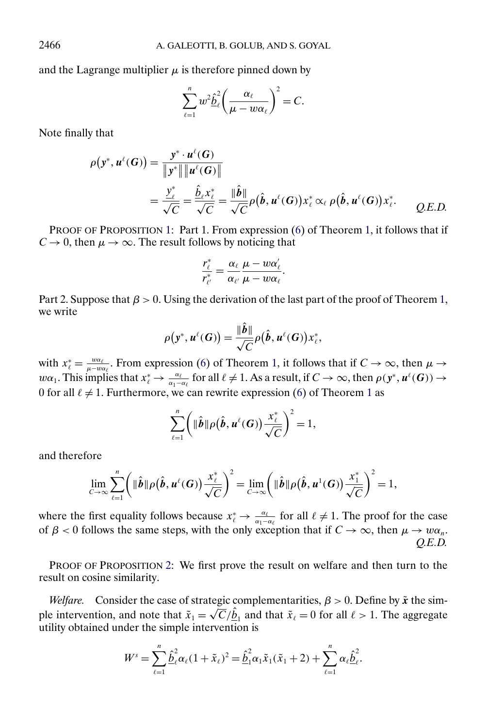and the Lagrange multiplier  $\mu$  is therefore pinned down by

$$
\sum_{\ell=1}^n w^2 \hat{\underline{b}}_{\ell}^2 \bigg(\frac{\alpha_{\ell}}{\mu - w\alpha_{\ell}}\bigg)^2 = C.
$$

Note finally that

$$
\rho(\mathbf{y}^*, \mathbf{u}^{\ell}(G)) = \frac{\mathbf{y}^* \cdot \mathbf{u}^{\ell}(G)}{\|\mathbf{y}^*\| \|\mathbf{u}^{\ell}(G)\|}
$$
  
= 
$$
\frac{\underline{y}^*}{\sqrt{C}} = \frac{\hat{\underline{b}}_{\ell} x_{\ell}^*}{\sqrt{C}} = \frac{\|\hat{\mathbf{b}}\|}{\sqrt{C}} \rho(\hat{\mathbf{b}}, \mathbf{u}^{\ell}(G)) x_{\ell}^* \propto_{\ell} \rho(\hat{\mathbf{b}}, \mathbf{u}^{\ell}(G)) x_{\ell}^*.
$$
 Q.E.D.

PROOF OF PROPOSITION [1:](#page-10-0) Part 1. From expression [\(6\)](#page-9-0) of Theorem [1,](#page-9-0) it follows that if  $C \to 0$ , then  $\mu \to \infty$ . The result follows by noticing that

$$
\frac{r_{\ell}^*}{r_{\ell'}^*} = \frac{\alpha_{\ell}}{\alpha_{\ell'}} \frac{\mu - w\alpha'_{\ell}}{\mu - w\alpha_{\ell}}.
$$

Part 2. Suppose that  $\beta > 0$ . Using the derivation of the last part of the proof of Theorem [1,](#page-9-0) we write

$$
\rho(y^*,u^{\ell}(G))=\frac{\|\hat{\boldsymbol{b}}\|}{\sqrt{C}}\rho(\hat{\boldsymbol{b}},u^{\ell}(G))x_{\ell}^*,
$$

with  $x_{\ell}^* = \frac{w\alpha_{\ell}}{\mu - w\alpha_{\ell}}$ . From expression [\(6\)](#page-9-0) of Theorem [1,](#page-9-0) it follows that if  $C \to \infty$ , then  $\mu \to$  $w\alpha_1$ . This implies that  $x^*_{\ell} \to \frac{\alpha_{\ell}}{\alpha_1 - \alpha_{\ell}}$  for all  $\ell \neq 1$ . As a result, if  $C \to \infty$ , then  $\rho(y^*, u^{\ell}(G)) \to$ 0 for all  $\ell \neq 1$  $\ell \neq 1$ . Furthermore, we can rewrite expression [\(6\)](#page-9-0) of Theorem 1 as

$$
\sum_{\ell=1}^n \left( \|\hat{\boldsymbol{b}}\| \rho(\hat{\boldsymbol{b}}, {\boldsymbol{u}}^{\ell}(\boldsymbol{G})) \frac{x_{\ell}^*}{\sqrt{C}} \right)^2 = 1,
$$

and therefore

$$
\lim_{C\to\infty}\sum_{\ell=1}^n\bigg(\|\hat{\boldsymbol{b}}\|\rho(\hat{\boldsymbol{b}},\boldsymbol{u}^{\ell}(\boldsymbol{G}))\frac{\boldsymbol{x}_{\ell}^*}{\sqrt{C}}\bigg)^2=\lim_{C\to\infty}\bigg(\|\hat{\boldsymbol{b}}\|\rho(\hat{\boldsymbol{b}},\boldsymbol{u}^1(\boldsymbol{G}))\frac{\boldsymbol{x}_1^*}{\sqrt{C}}\bigg)^2=1,
$$

where the first equality follows because  $x^*_{\ell} \to \frac{\alpha_{\ell}}{\alpha_1 - \alpha_{\ell}}$  for all  $\ell \neq 1$ . The proof for the case of  $\beta < 0$  follows the same steps, with the only exception that if  $C \to \infty$ , then  $\mu \to w\alpha_n$ . *Q.E.D.*

PROOF OF PROPOSITION [2:](#page-12-0) We first prove the result on welfare and then turn to the result on cosine similarity.

*Welfare.* Consider the case of strategic complementarities,  $\beta > 0$ . Define by  $\tilde{x}$  the sim*ple intervention, and note that*  $\tilde{x}_1 = \sqrt{C}/\hat{b}_1$  and that  $\tilde{x}_\ell = 0$  for all  $\ell > 1$ . The aggregate utility obtained under the simple intervention is

$$
W^{s} = \sum_{\ell=1}^{n} \hat{\underline{b}}_{\ell}^{2} \alpha_{\ell} (1 + \tilde{x}_{\ell})^{2} = \hat{\underline{b}}_{1}^{2} \alpha_{1} \tilde{x}_{1} (\tilde{x}_{1} + 2) + \sum_{\ell=1}^{n} \alpha_{\ell} \hat{\underline{b}}_{\ell}^{2}.
$$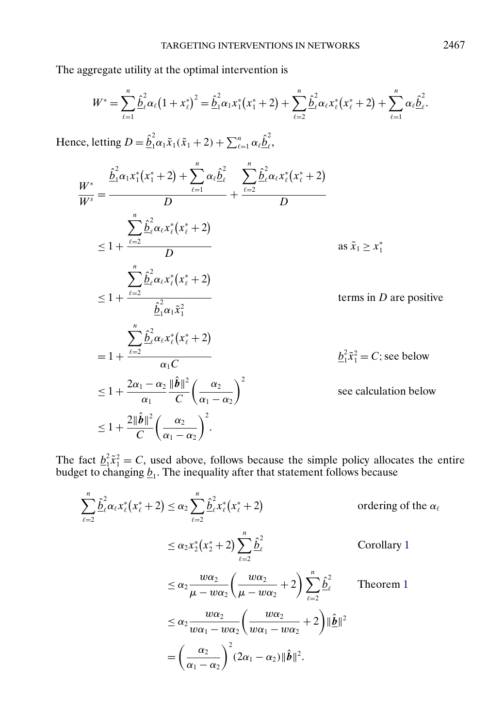The aggregate utility at the optimal intervention is

$$
W^* = \sum_{\ell=1}^n \hat{\underline{b}}_\ell^2 \alpha_\ell (1 + x_\ell^*)^2 = \hat{\underline{b}}_1^2 \alpha_1 x_1^* (x_1^* + 2) + \sum_{\ell=2}^n \hat{\underline{b}}_\ell^2 \alpha_\ell x_\ell^* (x_\ell^* + 2) + \sum_{\ell=1}^n \alpha_\ell \hat{\underline{b}}_\ell^2.
$$

Hence, letting  $D = \underline{\hat{b}}_1^2 \alpha_1 \tilde{x}_1(\tilde{x}_1 + 2) + \sum_{\ell=1}^n \alpha_\ell \underline{\hat{b}}_\ell^2$ ,

$$
W^* = \frac{\hat{b}_1^2 \alpha_1 x_1^* (x_1^* + 2) + \sum_{\ell=1}^n \alpha_\ell \hat{b}_\ell^2}{D} + \frac{\sum_{\ell=2}^n \hat{b}_\ell^2 \alpha_\ell x_\ell^* (x_\ell^* + 2)}{D}
$$
  
\n
$$
\leq 1 + \frac{\sum_{\ell=2}^n \hat{b}_\ell^2 \alpha_\ell x_\ell^* (x_\ell^* + 2)}{D}
$$
 as  $\tilde{x}_1 \geq x_1^*$   
\n
$$
\leq 1 + \frac{\sum_{\ell=2}^n \hat{b}_\ell^2 \alpha_\ell x_\ell^* (x_\ell^* + 2)}{\hat{b}_1^2 \alpha_1 \tilde{x}_1^2}
$$
 terms in *D* are positive  
\n
$$
= 1 + \frac{\sum_{\ell=2}^n \hat{b}_\ell^2 \alpha_\ell x_\ell^* (x_\ell^* + 2)}{\alpha_1 C}
$$
  
\n
$$
\leq 1 + \frac{2\alpha_1 - \alpha_2}{\alpha_1} \frac{\|\hat{\boldsymbol{b}}\|^2}{C} \left(\frac{\alpha_2}{\alpha_1 - \alpha_2}\right)^2
$$
 see calculation below  
\n
$$
\leq 1 + \frac{2\|\hat{\boldsymbol{b}}\|^2}{C} \left(\frac{\alpha_2}{\alpha_1 - \alpha_2}\right)^2.
$$

The fact  $\underline{b}_1^2 \tilde{x}_1^2 = C$ , used above, follows because the simple policy allocates the entire budget to changing  $\underline{b}_1.$  The inequality after that statement follows because

$$
\sum_{\ell=2}^{n} \hat{\underline{b}}_{\ell}^{2} \alpha_{\ell} x_{\ell}^{*}(x_{\ell}^{*}+2) \leq \alpha_{2} \sum_{\ell=2}^{n} \hat{\underline{b}}_{\ell}^{2} x_{\ell}^{*}(x_{\ell}^{*}+2) \qquad \text{ordering of the } \alpha_{\ell}
$$
\n
$$
\leq \alpha_{2} x_{2}^{*}(x_{2}^{*}+2) \sum_{\ell=2}^{n} \hat{\underline{b}}_{\ell}^{2} \qquad \text{Corollary 1}
$$
\n
$$
\leq \alpha_{2} \frac{w \alpha_{2}}{\mu - w \alpha_{2}} \left(\frac{w \alpha_{2}}{\mu - w \alpha_{2}} + 2\right) \sum_{\ell=2}^{n} \hat{\underline{b}}_{\ell}^{2} \qquad \text{Theorem 1}
$$
\n
$$
\leq \alpha_{2} \frac{w \alpha_{2}}{w \alpha_{1} - w \alpha_{2}} \left(\frac{w \alpha_{2}}{w \alpha_{1} - w \alpha_{2}} + 2\right) ||\hat{\underline{\boldsymbol{b}}}||^{2}
$$
\n
$$
= \left(\frac{\alpha_{2}}{\alpha_{1} - \alpha_{2}}\right)^{2} (2\alpha_{1} - \alpha_{2}) ||\hat{\boldsymbol{b}}||^{2}.
$$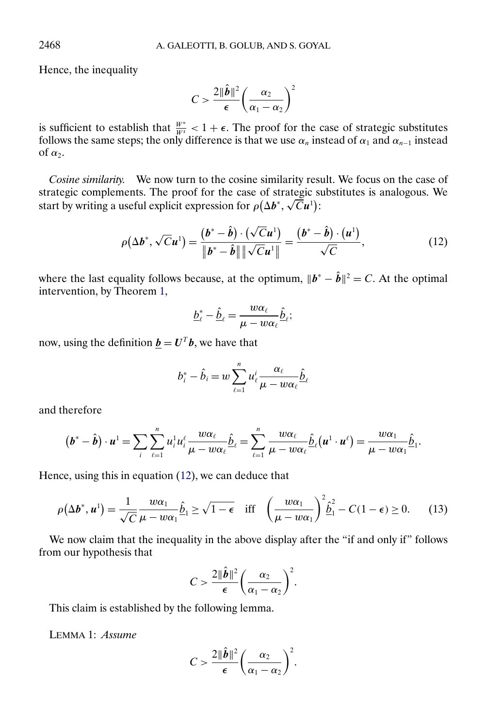Hence, the inequality

$$
C > \frac{2\|\hat{\boldsymbol{b}}\|^2}{\epsilon} \bigg(\frac{\alpha_2}{\alpha_1 - \alpha_2}\bigg)^2
$$

is sufficient to establish that  $\frac{W^*}{W^s} < 1 + \epsilon$ . The proof for the case of strategic substitutes follows the same steps; the only difference is that we use  $\alpha_n$  instead of  $\alpha_1$  and  $\alpha_{n-1}$  instead of  $\alpha_2$ .

*Cosine similarity.* We now turn to the cosine similarity result. We focus on the case of strategic complements. The proof for the case of strategic substitutes is analogous. We start by writing a useful explicit expression for  $\rho(\Delta \bm{b}^*, \sqrt{C}\bm{u}^1)$ :

$$
\rho(\Delta b^*, \sqrt{C}u^1) = \frac{(b^* - \hat{b}) \cdot (\sqrt{C}u^1)}{\Vert b^* - \hat{b} \Vert \Vert \sqrt{C}u^1 \Vert} = \frac{(b^* - \hat{b}) \cdot (u^1)}{\sqrt{C}},
$$
\n(12)

where the last equality follows because, at the optimum,  $||\boldsymbol{b}^* - \hat{\boldsymbol{b}}||^2 = C$ . At the optimal intervention, by Theorem [1,](#page-9-0)

$$
\underline{b}_{\ell}^* - \underline{\hat{b}}_{\ell} = \frac{w\alpha_{\ell}}{\mu - w\alpha_{\ell}}\underline{\hat{b}}_{\ell};
$$

now, using the definition  $\mathbf{b} = \mathbf{U}^T \mathbf{b}$ , we have that

$$
b_i^* - \hat{b}_i = w \sum_{\ell=1}^n u_\ell^i \frac{\alpha_\ell}{\mu - w \alpha_\ell} \hat{b}_\ell
$$

and therefore

$$
(\boldsymbol{b}^* - \hat{\boldsymbol{b}}) \cdot \boldsymbol{u}^1 = \sum_i \sum_{\ell=1}^n u_i^1 u_i^{\ell} \frac{w \alpha_{\ell}}{\mu - w \alpha_{\ell}} \hat{\underline{b}}_{\ell} = \sum_{\ell=1}^n \frac{w \alpha_{\ell}}{\mu - w \alpha_{\ell}} \hat{\underline{b}}_{\ell} (\boldsymbol{u}^1 \cdot \boldsymbol{u}^{\ell}) = \frac{w \alpha_1}{\mu - w \alpha_1} \hat{\underline{b}}_1.
$$

Hence, using this in equation (12), we can deduce that

$$
\rho(\Delta b^*, u^1) = \frac{1}{\sqrt{C}} \frac{w\alpha_1}{\mu - w\alpha_1} \hat{b}_1 \ge \sqrt{1 - \epsilon} \quad \text{iff} \quad \left(\frac{w\alpha_1}{\mu - w\alpha_1}\right)^2 \hat{b}_1^2 - C(1 - \epsilon) \ge 0. \tag{13}
$$

We now claim that the inequality in the above display after the "if and only if" follows from our hypothesis that

$$
C > \frac{2\|\hat{\boldsymbol{b}}\|^2}{\epsilon} \bigg(\frac{\alpha_2}{\alpha_1 - \alpha_2}\bigg)^2.
$$

This claim is established by the following lemma.

LEMMA 1: *Assume*

$$
C > \frac{2\|\hat{\boldsymbol{b}}\|^2}{\epsilon} \bigg(\frac{\alpha_2}{\alpha_1 - \alpha_2}\bigg)^2.
$$

<span id="page-23-0"></span>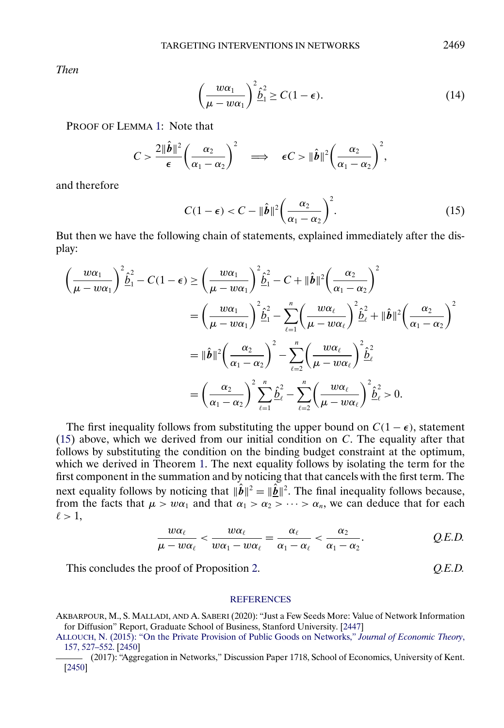<span id="page-24-0"></span>*Then*

$$
\left(\frac{w\alpha_1}{\mu - w\alpha_1}\right)^2 \hat{\underline{b}}_1^2 \ge C(1 - \epsilon). \tag{14}
$$

PROOF OF LEMMA [1:](#page-23-0) Note that

$$
C > \frac{2\|\hat{\boldsymbol{b}}\|^2}{\epsilon} \bigg(\frac{\alpha_2}{\alpha_1 - \alpha_2}\bigg)^2 \quad \Longrightarrow \quad \epsilon C > \|\hat{\boldsymbol{b}}\|^2 \bigg(\frac{\alpha_2}{\alpha_1 - \alpha_2}\bigg)^2,
$$

and therefore

$$
C(1-\epsilon) < C - \|\hat{\boldsymbol{b}}\|^2 \bigg(\frac{\alpha_2}{\alpha_1 - \alpha_2}\bigg)^2. \tag{15}
$$

But then we have the following chain of statements, explained immediately after the display:

$$
\left(\frac{w\alpha_1}{\mu - w\alpha_1}\right)^2 \hat{\underline{b}}_1^2 - C(1 - \epsilon) \ge \left(\frac{w\alpha_1}{\mu - w\alpha_1}\right)^2 \hat{\underline{b}}_1^2 - C + \|\hat{\boldsymbol{b}}\|^2 \left(\frac{\alpha_2}{\alpha_1 - \alpha_2}\right)^2
$$

$$
= \left(\frac{w\alpha_1}{\mu - w\alpha_1}\right)^2 \hat{\underline{b}}_1^2 - \sum_{\ell=1}^n \left(\frac{w\alpha_\ell}{\mu - w\alpha_\ell}\right)^2 \hat{\underline{b}}_\ell^2 + \|\hat{\boldsymbol{b}}\|^2 \left(\frac{\alpha_2}{\alpha_1 - \alpha_2}\right)^2
$$

$$
= \|\hat{\boldsymbol{b}}\|^2 \left(\frac{\alpha_2}{\alpha_1 - \alpha_2}\right)^2 - \sum_{\ell=2}^n \left(\frac{w\alpha_\ell}{\mu - w\alpha_\ell}\right)^2 \hat{\underline{b}}_\ell^2
$$

$$
= \left(\frac{\alpha_2}{\alpha_1 - \alpha_2}\right)^2 \sum_{\ell=1}^n \hat{\underline{b}}_\ell^2 - \sum_{\ell=2}^n \left(\frac{w\alpha_\ell}{\mu - w\alpha_\ell}\right)^2 \hat{\underline{b}}_\ell^2 > 0.
$$

The first inequality follows from substituting the upper bound on  $C(1 - \epsilon)$ , statement  $(15)$  above, which we derived from our initial condition on C. The equality after that follows by substituting the condition on the binding budget constraint at the optimum, which we derived in Theorem [1.](#page-9-0) The next equality follows by isolating the term for the first component in the summation and by noticing that that cancels with the first term. The next equality follows by noticing that  $\|\hat{\boldsymbol{b}}\|^2 = \|\hat{\boldsymbol{b}}\|^2$ . The final inequality follows because, from the facts that  $\mu > w\alpha_1$  and that  $\alpha_1 > \alpha_2 > \cdots > \alpha_n$ , we can deduce that for each  $\ell > 1$ ,

$$
\frac{w\alpha_{\ell}}{\mu - w\alpha_{\ell}} < \frac{w\alpha_{\ell}}{w\alpha_1 - w\alpha_{\ell}} = \frac{\alpha_{\ell}}{\alpha_1 - \alpha_{\ell}} < \frac{\alpha_2}{\alpha_1 - \alpha_2}.\tag{Q.E.D.}
$$

This concludes the proof of Proposition [2.](#page-12-0) *Q.E.D. Q.E.D.* 

#### **[REFERENCES](http://www.e-publications.org/srv/ecta/linkserver/setprefs?rfe_id=urn:sici%2F0012-9682%282020%2988%3A6%3C2445%3ATIIN%3E2.0.CO%3B2-I)**

- AKBARPOUR, M., S. MALLADI, AND A. SABERI (2020): "Just a Few Seeds More: Value of Network Information for Diffusion" Report, Graduate School of Business, Stanford University. [\[2447\]](#page-2-0)
- [ALLOUCH, N. \(2015\): "On the Private Provision of Public Goods on Networks,"](http://www.e-publications.org/srv/ecta/linkserver/openurl?rft_dat=bib:2/allouch2015private&rfe_id=urn:sici%2F0012-9682%282020%2988%3A6%3C2445%3ATIIN%3E2.0.CO%3B2-I) *Journal of Economic Theory*, [157, 527–552.](http://www.e-publications.org/srv/ecta/linkserver/openurl?rft_dat=bib:2/allouch2015private&rfe_id=urn:sici%2F0012-9682%282020%2988%3A6%3C2445%3ATIIN%3E2.0.CO%3B2-I) [\[2450\]](#page-5-0)
- (2017): "Aggregation in Networks," Discussion Paper 1718, School of Economics, University of Kent. [\[2450\]](#page-5-0)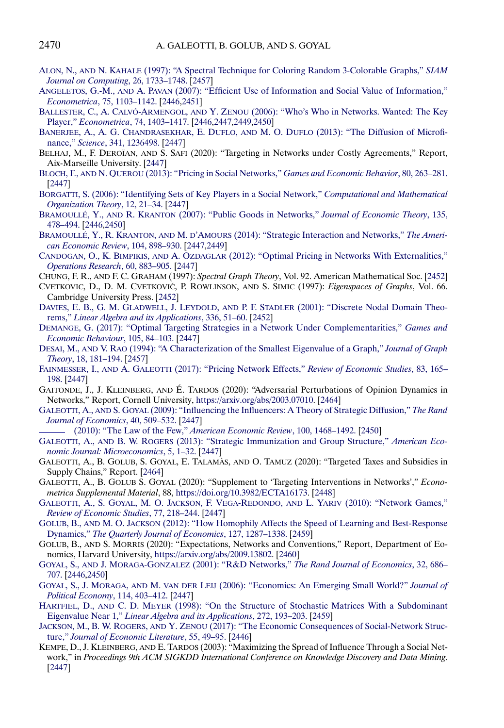- <span id="page-25-0"></span>ALON, N., AND N. KAHALE [\(1997\): "A Spectral Technique for Coloring Random 3-Colorable Graphs,"](http://www.e-publications.org/srv/ecta/linkserver/openurl?rft_dat=bib:4/alon1997spectral&rfe_id=urn:sici%2F0012-9682%282020%2988%3A6%3C2445%3ATIIN%3E2.0.CO%3B2-I) *SIAM [Journal on Computing](http://www.e-publications.org/srv/ecta/linkserver/openurl?rft_dat=bib:4/alon1997spectral&rfe_id=urn:sici%2F0012-9682%282020%2988%3A6%3C2445%3ATIIN%3E2.0.CO%3B2-I)*, 26, 1733–1748. [\[2457\]](#page-12-0)
- ANGELETOS, G.-M., AND A. PAVAN [\(2007\): "Efficient Use of Information and Social Value of Information,"](http://www.e-publications.org/srv/ecta/linkserver/openurl?rft_dat=bib:5/angeletospavan2007&rfe_id=urn:sici%2F0012-9682%282020%2988%3A6%3C2445%3ATIIN%3E2.0.CO%3B2-I) *Econometrica*[, 75, 1103–1142.](http://www.e-publications.org/srv/ecta/linkserver/openurl?rft_dat=bib:5/angeletospavan2007&rfe_id=urn:sici%2F0012-9682%282020%2988%3A6%3C2445%3ATIIN%3E2.0.CO%3B2-I) [\[2446](#page-1-0)[,2451\]](#page-6-0)
- BALLESTER, C., A. CALVÓ-ARMENGOL, AND Y. ZENOU [\(2006\): "Who's Who in Networks. Wanted: The Key](http://www.e-publications.org/srv/ecta/linkserver/openurl?rft_dat=bib:6/Ballester2006&rfe_id=urn:sici%2F0012-9682%282020%2988%3A6%3C2445%3ATIIN%3E2.0.CO%3B2-I) Player," *Econometrica*[, 74, 1403–1417.](http://www.e-publications.org/srv/ecta/linkserver/openurl?rft_dat=bib:6/Ballester2006&rfe_id=urn:sici%2F0012-9682%282020%2988%3A6%3C2445%3ATIIN%3E2.0.CO%3B2-I) [\[2446](#page-1-0)[,2447](#page-2-0)[,2449](#page-4-0)[,2450\]](#page-5-0)
- [BANERJEE, A., A. G. CHANDRASEKHAR, E. DUFLO,](http://www.e-publications.org/srv/ecta/linkserver/openurl?rft_dat=bib:7/banerjee2013diffusion&rfe_id=urn:sici%2F0012-9682%282020%2988%3A6%3C2445%3ATIIN%3E2.0.CO%3B2-I) AND M. O. DUFLO (2013): "The Diffusion of Microfinance," *Science*[, 341, 1236498.](http://www.e-publications.org/srv/ecta/linkserver/openurl?rft_dat=bib:7/banerjee2013diffusion&rfe_id=urn:sici%2F0012-9682%282020%2988%3A6%3C2445%3ATIIN%3E2.0.CO%3B2-I) [\[2447\]](#page-2-0)
- BELHAJ, M., F. DEROÏAN, AND S. SAFI (2020): "Targeting in Networks under Costly Agreements," Report, Aix-Marseille University. [\[2447\]](#page-2-0)
- BLOCH, F., AND N. QUEROU [\(2013\): "Pricing in Social Networks,"](http://www.e-publications.org/srv/ecta/linkserver/openurl?rft_dat=bib:9/BlochQuerou2013&rfe_id=urn:sici%2F0012-9682%282020%2988%3A6%3C2445%3ATIIN%3E2.0.CO%3B2-I) *Games and Economic Behavior*, 80, 263–281. [\[2447\]](#page-2-0)
- [BORGATTI, S. \(2006\): "Identifying Sets of Key Players in a Social Network,"](http://www.e-publications.org/srv/ecta/linkserver/openurl?rft_dat=bib:10/Borgatti2006&rfe_id=urn:sici%2F0012-9682%282020%2988%3A6%3C2445%3ATIIN%3E2.0.CO%3B2-I) *Computational and Mathematical [Organization Theory](http://www.e-publications.org/srv/ecta/linkserver/openurl?rft_dat=bib:10/Borgatti2006&rfe_id=urn:sici%2F0012-9682%282020%2988%3A6%3C2445%3ATIIN%3E2.0.CO%3B2-I)*, 12, 21–34. [\[2447\]](#page-2-0)
- BRAMOULLÉ, Y., AND R. KRANTON [\(2007\): "Public Goods in Networks,"](http://www.e-publications.org/srv/ecta/linkserver/openurl?rft_dat=bib:11/BramoulleKranton2007&rfe_id=urn:sici%2F0012-9682%282020%2988%3A6%3C2445%3ATIIN%3E2.0.CO%3B2-I) *Journal of Economic Theory*, 135, [478–494.](http://www.e-publications.org/srv/ecta/linkserver/openurl?rft_dat=bib:11/BramoulleKranton2007&rfe_id=urn:sici%2F0012-9682%282020%2988%3A6%3C2445%3ATIIN%3E2.0.CO%3B2-I) [\[2446](#page-1-0)[,2450\]](#page-5-0)
- BRAMOULLÉ, Y., R. KRANTON, AND M. D'AMOURS [\(2014\): "Strategic Interaction and Networks,"](http://www.e-publications.org/srv/ecta/linkserver/openurl?rft_dat=bib:12/bramoulle2014strategic&rfe_id=urn:sici%2F0012-9682%282020%2988%3A6%3C2445%3ATIIN%3E2.0.CO%3B2-I) *The Ameri[can Economic Review](http://www.e-publications.org/srv/ecta/linkserver/openurl?rft_dat=bib:12/bramoulle2014strategic&rfe_id=urn:sici%2F0012-9682%282020%2988%3A6%3C2445%3ATIIN%3E2.0.CO%3B2-I)*, 104, 898–930. [\[2447](#page-2-0)[,2449\]](#page-4-0)
- CANDOGAN, O., K. BIMPIKIS, AND A. OZDAGLAR [\(2012\): "Optimal Pricing in Networks With Externalities,"](http://www.e-publications.org/srv/ecta/linkserver/openurl?rft_dat=bib:13/Candoganetal2012&rfe_id=urn:sici%2F0012-9682%282020%2988%3A6%3C2445%3ATIIN%3E2.0.CO%3B2-I) *[Operations Research](http://www.e-publications.org/srv/ecta/linkserver/openurl?rft_dat=bib:13/Candoganetal2012&rfe_id=urn:sici%2F0012-9682%282020%2988%3A6%3C2445%3ATIIN%3E2.0.CO%3B2-I)*, 60, 883–905. [\[2447\]](#page-2-0)
- CHUNG, F. R., AND F. C. GRAHAM (1997): *Spectral Graph Theory*, Vol. 92. American Mathematical Soc. [\[2452\]](#page-7-0)
- CVETKOVIC, D., D. M. CVETKOVIC´, P. ROWLINSON, AND S. SIMIC (1997): *Eigenspaces of Graphs*, Vol. 66. Cambridge University Press. [\[2452\]](#page-7-0)
- [DAVIES, E. B., G. M. GLADWELL, J. LEYDOLD,](http://www.e-publications.org/srv/ecta/linkserver/openurl?rft_dat=bib:16/discretenodal&rfe_id=urn:sici%2F0012-9682%282020%2988%3A6%3C2445%3ATIIN%3E2.0.CO%3B2-I) AND P. F. STADLER (2001): "Discrete Nodal Domain Theorems," *[Linear Algebra and its Applications](http://www.e-publications.org/srv/ecta/linkserver/openurl?rft_dat=bib:16/discretenodal&rfe_id=urn:sici%2F0012-9682%282020%2988%3A6%3C2445%3ATIIN%3E2.0.CO%3B2-I)*, 336, 51–60. [\[2452\]](#page-7-0)
- [DEMANGE, G. \(2017\): "Optimal Targeting Strategies in a Network Under Complementarities,"](http://www.e-publications.org/srv/ecta/linkserver/openurl?rft_dat=bib:17/GDemange&rfe_id=urn:sici%2F0012-9682%282020%2988%3A6%3C2445%3ATIIN%3E2.0.CO%3B2-I) *Games and [Economic Behaviour](http://www.e-publications.org/srv/ecta/linkserver/openurl?rft_dat=bib:17/GDemange&rfe_id=urn:sici%2F0012-9682%282020%2988%3A6%3C2445%3ATIIN%3E2.0.CO%3B2-I)*, 105, 84–103. [\[2447\]](#page-2-0)
- DESAI, M., AND V. RAO [\(1994\): "A Characterization of the Smallest Eigenvalue of a Graph,"](http://www.e-publications.org/srv/ecta/linkserver/openurl?rft_dat=bib:18/desai1994characterization&rfe_id=urn:sici%2F0012-9682%282020%2988%3A6%3C2445%3ATIIN%3E2.0.CO%3B2-I) *Journal of Graph Theory*[, 18, 181–194.](http://www.e-publications.org/srv/ecta/linkserver/openurl?rft_dat=bib:18/desai1994characterization&rfe_id=urn:sici%2F0012-9682%282020%2988%3A6%3C2445%3ATIIN%3E2.0.CO%3B2-I) [\[2457\]](#page-12-0)
- FAINMESSER, I., AND A. GALEOTTI [\(2017\): "Pricing Network Effects,"](http://www.e-publications.org/srv/ecta/linkserver/openurl?rft_dat=bib:19/FainmesserGaleotti2017&rfe_id=urn:sici%2F0012-9682%282020%2988%3A6%3C2445%3ATIIN%3E2.0.CO%3B2-I) *Review of Economic Studies*, 83, 165– [198.](http://www.e-publications.org/srv/ecta/linkserver/openurl?rft_dat=bib:19/FainmesserGaleotti2017&rfe_id=urn:sici%2F0012-9682%282020%2988%3A6%3C2445%3ATIIN%3E2.0.CO%3B2-I) [\[2447\]](#page-2-0)
- GAITONDE, J., J. KLEINBERG, AND É. TARDOS (2020): "Adversarial Perturbations of Opinion Dynamics in Networks," Report, Cornell University, <https://arxiv.org/abs/2003.07010>. [\[2464\]](#page-19-0)
- GALEOTTI, A., AND S. GOYAL [\(2009\): "Influencing the Influencers: A Theory of Strategic Diffusion,"](http://www.e-publications.org/srv/ecta/linkserver/openurl?rft_dat=bib:21/GaleottiGoyal2009&rfe_id=urn:sici%2F0012-9682%282020%2988%3A6%3C2445%3ATIIN%3E2.0.CO%3B2-I) *The Rand [Journal of Economics](http://www.e-publications.org/srv/ecta/linkserver/openurl?rft_dat=bib:21/GaleottiGoyal2009&rfe_id=urn:sici%2F0012-9682%282020%2988%3A6%3C2445%3ATIIN%3E2.0.CO%3B2-I)*, 40, 509–532. [\[2447\]](#page-2-0)

[\(2010\): "The Law of the Few,"](http://www.e-publications.org/srv/ecta/linkserver/openurl?rft_dat=bib:22/GaleottiGoyal2010&rfe_id=urn:sici%2F0012-9682%282020%2988%3A6%3C2445%3ATIIN%3E2.0.CO%3B2-I) *American Economic Review*, 100, 1468–1492. [\[2450\]](#page-5-0)

- GALEOTTI, A., AND B. W. ROGERS [\(2013\): "Strategic Immunization and Group Structure,"](http://www.e-publications.org/srv/ecta/linkserver/openurl?rft_dat=bib:23/GaleottiRogers&rfe_id=urn:sici%2F0012-9682%282020%2988%3A6%3C2445%3ATIIN%3E2.0.CO%3B2-I) *American Eco[nomic Journal: Microeconomics](http://www.e-publications.org/srv/ecta/linkserver/openurl?rft_dat=bib:23/GaleottiRogers&rfe_id=urn:sici%2F0012-9682%282020%2988%3A6%3C2445%3ATIIN%3E2.0.CO%3B2-I)*, 5, 1–32. [\[2447\]](#page-2-0)
- GALEOTTI, A., B. GOLUB, S. GOYAL, E. TALAMÀS, AND O. TAMUZ (2020): "Targeted Taxes and Subsidies in Supply Chains," Report. [\[2464\]](#page-19-0)
- GALEOTTI, A., B. GOLUB S. GOYAL (2020): "Supplement to 'Targeting Interventions in Networks'," *Econometrica Supplemental Material*, 88, [https://doi.org/10.3982/ECTA16173.](https://doi.org/10.3982/ECTA16173) [\[2448\]](#page-3-0)
- [GALEOTTI, A., S. GOYAL, M. O. JACKSON, F. VEGA-REDONDO,](http://www.e-publications.org/srv/ecta/linkserver/openurl?rft_dat=bib:26/Galeottietal2010&rfe_id=urn:sici%2F0012-9682%282020%2988%3A6%3C2445%3ATIIN%3E2.0.CO%3B2-I) AND L. YARIV (2010): "Network Games," *[Review of Economic Studies](http://www.e-publications.org/srv/ecta/linkserver/openurl?rft_dat=bib:26/Galeottietal2010&rfe_id=urn:sici%2F0012-9682%282020%2988%3A6%3C2445%3ATIIN%3E2.0.CO%3B2-I)*, 77, 218–244. [\[2447\]](#page-2-0)
- GOLUB, B., AND M. O. JACKSON [\(2012\): "How Homophily Affects the Speed of Learning and Best-Response](http://www.e-publications.org/srv/ecta/linkserver/openurl?rft_dat=bib:27/golub-jackson-homophily&rfe_id=urn:sici%2F0012-9682%282020%2988%3A6%3C2445%3ATIIN%3E2.0.CO%3B2-I) Dynamics," *[The Quarterly Journal of Economics](http://www.e-publications.org/srv/ecta/linkserver/openurl?rft_dat=bib:27/golub-jackson-homophily&rfe_id=urn:sici%2F0012-9682%282020%2988%3A6%3C2445%3ATIIN%3E2.0.CO%3B2-I)*, 127, 1287–1338. [\[2459\]](#page-14-0)
- GOLUB, B., AND S. MORRIS (2020): "Expectations, Networks and Conventions," Report, Department of Eonomics, Harvard University, <https://arxiv.org/abs/2009.13802>. [\[2460\]](#page-15-0)
- GOYAL, S., AND J. MORAGA-GONZALEZ (2001): "R&D Networks," *[The Rand Journal of Economics](http://www.e-publications.org/srv/ecta/linkserver/openurl?rft_dat=bib:29/GoyalMoraga&rfe_id=urn:sici%2F0012-9682%282020%2988%3A6%3C2445%3ATIIN%3E2.0.CO%3B2-I)*, 32, 686– [707.](http://www.e-publications.org/srv/ecta/linkserver/openurl?rft_dat=bib:29/GoyalMoraga&rfe_id=urn:sici%2F0012-9682%282020%2988%3A6%3C2445%3ATIIN%3E2.0.CO%3B2-I) [\[2446](#page-1-0)[,2450\]](#page-5-0)
- GOYAL, S., J. MORAGA, AND M. VAN DER LEIJ [\(2006\): "Economics: An Emerging Small World?"](http://www.e-publications.org/srv/ecta/linkserver/openurl?rft_dat=bib:30/Goyaletal2006&rfe_id=urn:sici%2F0012-9682%282020%2988%3A6%3C2445%3ATIIN%3E2.0.CO%3B2-I) *Journal of [Political Economy](http://www.e-publications.org/srv/ecta/linkserver/openurl?rft_dat=bib:30/Goyaletal2006&rfe_id=urn:sici%2F0012-9682%282020%2988%3A6%3C2445%3ATIIN%3E2.0.CO%3B2-I)*, 114, 403–412. [\[2447\]](#page-2-0)
- HARTFIEL, D., AND C. D. MEYER [\(1998\): "On the Structure of Stochastic Matrices With a Subdominant](http://www.e-publications.org/srv/ecta/linkserver/openurl?rft_dat=bib:31/hartfiel1998structure&rfe_id=urn:sici%2F0012-9682%282020%2988%3A6%3C2445%3ATIIN%3E2.0.CO%3B2-I) Eigenvalue Near 1," *[Linear Algebra and its Applications](http://www.e-publications.org/srv/ecta/linkserver/openurl?rft_dat=bib:31/hartfiel1998structure&rfe_id=urn:sici%2F0012-9682%282020%2988%3A6%3C2445%3ATIIN%3E2.0.CO%3B2-I)*, 272, 193–203. [\[2459\]](#page-14-0)
- JACKSON, M., B. W. ROGERS, AND Y. ZENOU [\(2017\): "The Economic Consequences of Social-Network Struc](http://www.e-publications.org/srv/ecta/linkserver/openurl?rft_dat=bib:32/JacksonRogersZenou2017&rfe_id=urn:sici%2F0012-9682%282020%2988%3A6%3C2445%3ATIIN%3E2.0.CO%3B2-I)ture," *[Journal of Economic Literature](http://www.e-publications.org/srv/ecta/linkserver/openurl?rft_dat=bib:32/JacksonRogersZenou2017&rfe_id=urn:sici%2F0012-9682%282020%2988%3A6%3C2445%3ATIIN%3E2.0.CO%3B2-I)*, 55, 49–95. [\[2446\]](#page-1-0)
- KEMPE, D., J. KLEINBERG, AND E. TARDOS (2003): "Maximizing the Spread of Influence Through a Social Network," in *Proceedings 9th ACM SIGKDD International Conference on Knowledge Discovery and Data Mining*. [\[2447\]](#page-2-0)